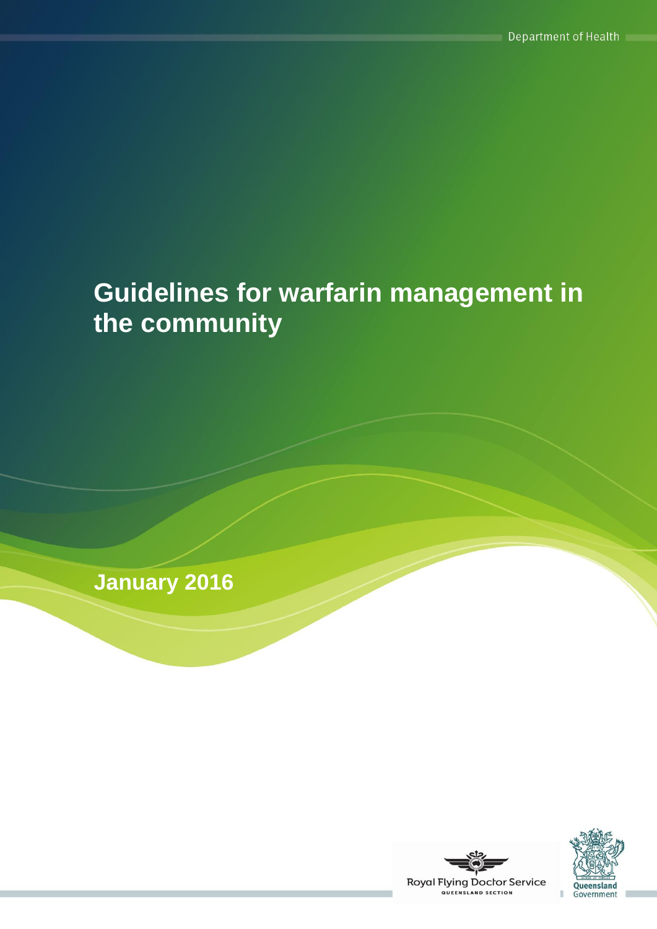# **Guidelines for warfarin management in the community**

**January 2016**



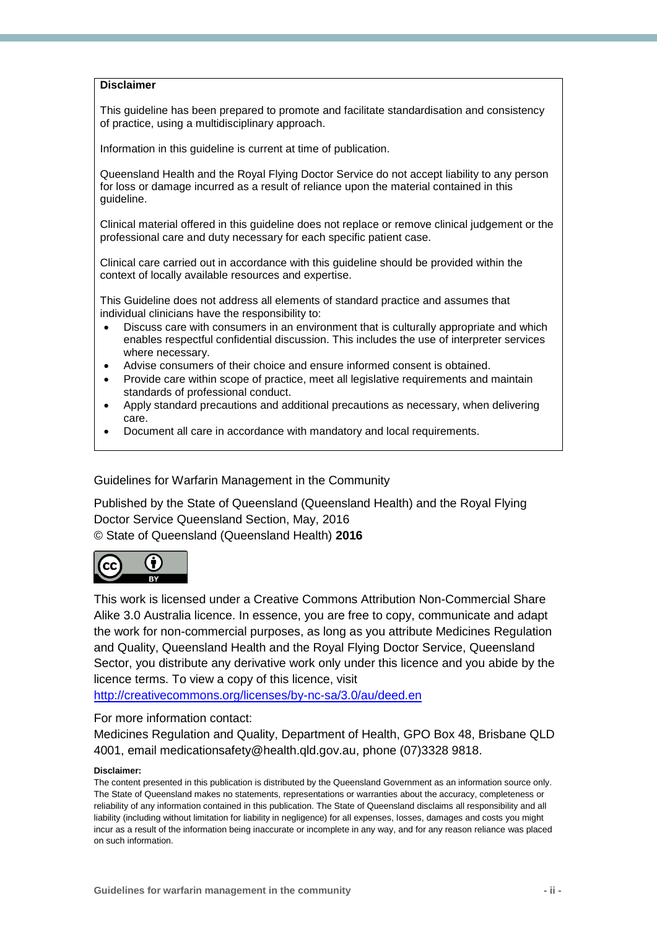#### **Disclaimer**

This guideline has been prepared to promote and facilitate standardisation and consistency of practice, using a multidisciplinary approach.

Information in this guideline is current at time of publication.

Queensland Health and the Royal Flying Doctor Service do not accept liability to any person for loss or damage incurred as a result of reliance upon the material contained in this guideline.

Clinical material offered in this guideline does not replace or remove clinical judgement or the professional care and duty necessary for each specific patient case.

Clinical care carried out in accordance with this guideline should be provided within the context of locally available resources and expertise.

This Guideline does not address all elements of standard practice and assumes that individual clinicians have the responsibility to:

- Discuss care with consumers in an environment that is culturally appropriate and which enables respectful confidential discussion. This includes the use of interpreter services where necessary.
- Advise consumers of their choice and ensure informed consent is obtained.
- Provide care within scope of practice, meet all legislative requirements and maintain standards of professional conduct.
- Apply standard precautions and additional precautions as necessary, when delivering care.
- Document all care in accordance with mandatory and local requirements.

Guidelines for Warfarin Management in the Community

Published by the State of Queensland (Queensland Health) and the Royal Flying Doctor Service Queensland Section, May, 2016 © State of Queensland (Queensland Health) **2016**



This work is licensed under a Creative Commons Attribution Non-Commercial Share Alike 3.0 Australia licence. In essence, you are free to copy, communicate and adapt the work for non-commercial purposes, as long as you attribute Medicines Regulation and Quality, Queensland Health and the Royal Flying Doctor Service, Queensland Sector, you distribute any derivative work only under this licence and you abide by the licence terms. To view a copy of this licence, visit

<http://creativecommons.org/licenses/by-nc-sa/3.0/au/deed.en>

#### For more information contact:

Medicines Regulation and Quality, Department of Health, GPO Box 48, Brisbane QLD 4001, email medicationsafety@health.qld.gov.au, phone (07)3328 9818.

#### **Disclaimer:**

The content presented in this publication is distributed by the Queensland Government as an information source only. The State of Queensland makes no statements, representations or warranties about the accuracy, completeness or reliability of any information contained in this publication. The State of Queensland disclaims all responsibility and all liability (including without limitation for liability in negligence) for all expenses, losses, damages and costs you might incur as a result of the information being inaccurate or incomplete in any way, and for any reason reliance was placed on such information.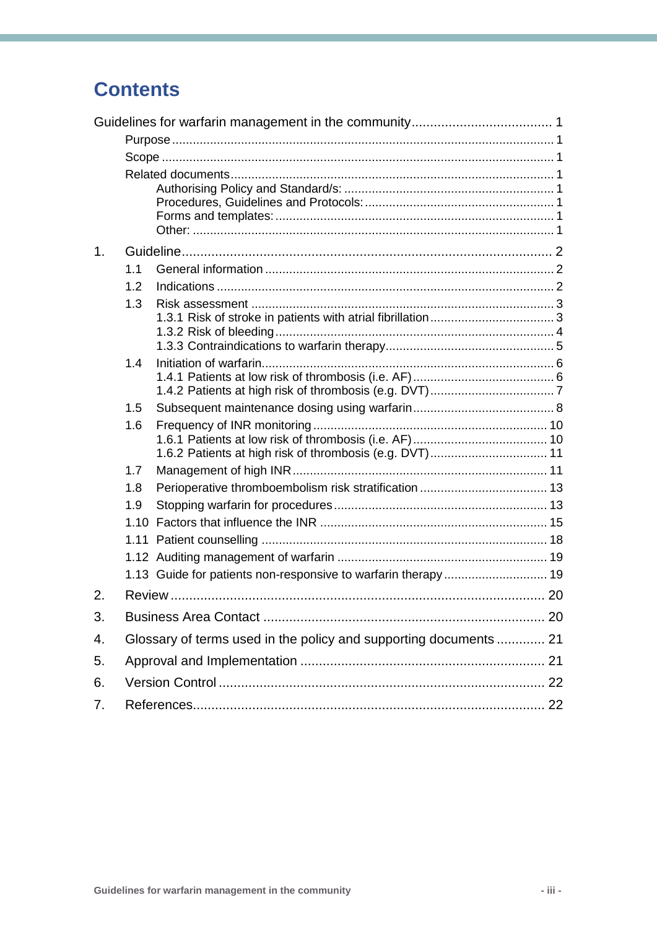## **Contents**

| $\mathbf{1}$ . |                                                                   |                                                               |  |  |  |  |  |  |
|----------------|-------------------------------------------------------------------|---------------------------------------------------------------|--|--|--|--|--|--|
|                | 1.1                                                               |                                                               |  |  |  |  |  |  |
|                | 1.2                                                               |                                                               |  |  |  |  |  |  |
|                | 1.3                                                               |                                                               |  |  |  |  |  |  |
|                |                                                                   |                                                               |  |  |  |  |  |  |
|                |                                                                   |                                                               |  |  |  |  |  |  |
|                | 1.4                                                               |                                                               |  |  |  |  |  |  |
|                |                                                                   |                                                               |  |  |  |  |  |  |
|                |                                                                   |                                                               |  |  |  |  |  |  |
|                | 1.5                                                               |                                                               |  |  |  |  |  |  |
|                | 1.6                                                               |                                                               |  |  |  |  |  |  |
|                |                                                                   | 1.6.2 Patients at high risk of thrombosis (e.g. DVT) 11       |  |  |  |  |  |  |
|                | 1.7                                                               |                                                               |  |  |  |  |  |  |
|                | 1.8                                                               |                                                               |  |  |  |  |  |  |
|                | 1.9                                                               |                                                               |  |  |  |  |  |  |
|                | 1.10                                                              |                                                               |  |  |  |  |  |  |
|                | 1.11                                                              |                                                               |  |  |  |  |  |  |
|                |                                                                   |                                                               |  |  |  |  |  |  |
|                |                                                                   | 1.13 Guide for patients non-responsive to warfarin therapy 19 |  |  |  |  |  |  |
| 2.             |                                                                   |                                                               |  |  |  |  |  |  |
| 3.             |                                                                   |                                                               |  |  |  |  |  |  |
| 4.             | Glossary of terms used in the policy and supporting documents  21 |                                                               |  |  |  |  |  |  |
| 5.             |                                                                   |                                                               |  |  |  |  |  |  |
| 6.             |                                                                   |                                                               |  |  |  |  |  |  |
| 7.             |                                                                   |                                                               |  |  |  |  |  |  |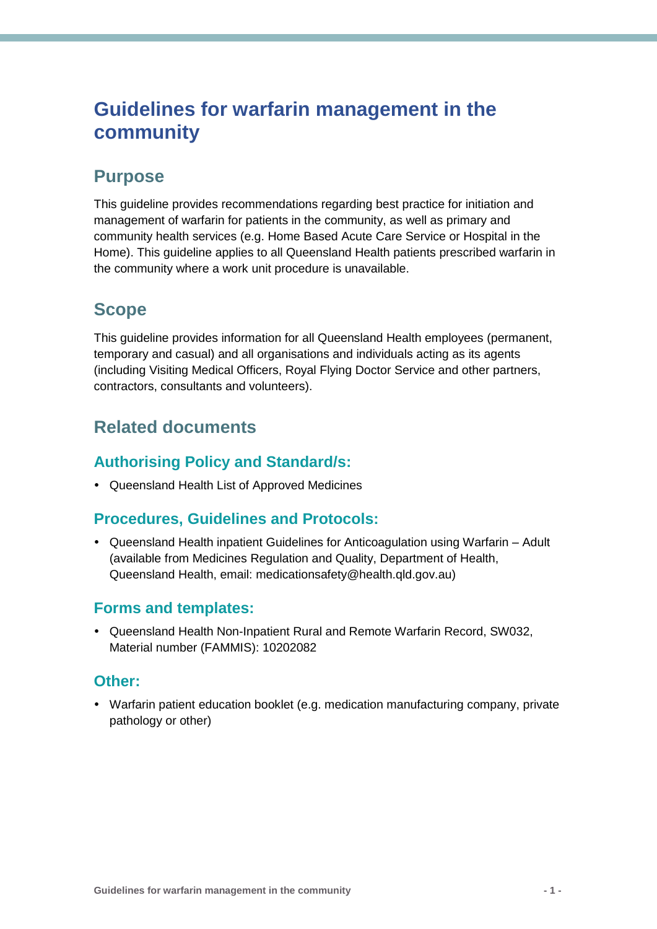## <span id="page-3-0"></span>**Guidelines for warfarin management in the community**

## <span id="page-3-1"></span>**Purpose**

This guideline provides recommendations regarding best practice for initiation and management of warfarin for patients in the community, as well as primary and community health services (e.g. Home Based Acute Care Service or Hospital in the Home). This guideline applies to all Queensland Health patients prescribed warfarin in the community where a work unit procedure is unavailable.

## <span id="page-3-2"></span>**Scope**

This guideline provides information for all Queensland Health employees (permanent, temporary and casual) and all organisations and individuals acting as its agents (including Visiting Medical Officers, Royal Flying Doctor Service and other partners, contractors, consultants and volunteers).

## <span id="page-3-3"></span>**Related documents**

### <span id="page-3-4"></span>**Authorising Policy and Standard/s:**

Queensland Health List of Approved Medicines

### <span id="page-3-5"></span>**Procedures, Guidelines and Protocols:**

 Queensland Health inpatient Guidelines for Anticoagulation using Warfarin – Adult (available from Medicines Regulation and Quality, Department of Health, Queensland Health, email: [medicationsafety@health.qld.gov.au\)](mailto:medicationsafety@health.qld.gov.au)

### <span id="page-3-6"></span>**Forms and templates:**

 Queensland Health Non-Inpatient Rural and Remote Warfarin Record, SW032, Material number (FAMMIS): 10202082

### <span id="page-3-7"></span>**Other:**

 Warfarin patient education booklet (e.g. medication manufacturing company, private pathology or other)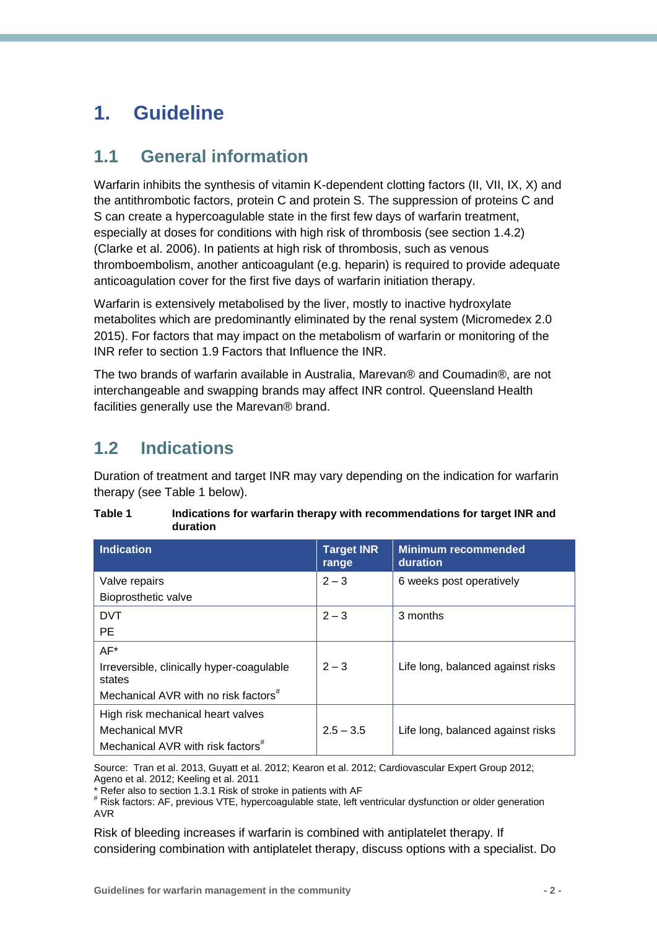## <span id="page-4-0"></span>**1. Guideline**

### <span id="page-4-1"></span>**1.1 General information**

Warfarin inhibits the synthesis of vitamin K-dependent clotting factors (II, VII, IX, X) and the antithrombotic factors, protein C and protein S. The suppression of proteins C and S can create a hypercoagulable state in the first few days of warfarin treatment, especially at doses for conditions with high risk of thrombosis (see section 1.4.2) (Clarke et al. 2006). In patients at high risk of thrombosis, such as venous thromboembolism, another anticoagulant (e.g. heparin) is required to provide adequate anticoagulation cover for the first five days of warfarin initiation therapy.

Warfarin is extensively metabolised by the liver, mostly to inactive hydroxylate metabolites which are predominantly eliminated by the renal system (Micromedex 2.0 2015). For factors that may impact on the metabolism of warfarin or monitoring of the INR refer to section 1.9 Factors that Influence the INR.

The two brands of warfarin available in Australia, Marevan® and Coumadin®, are not interchangeable and swapping brands may affect INR control. Queensland Health facilities generally use the Marevan® brand.

## <span id="page-4-2"></span>**1.2 Indications**

Duration of treatment and target INR may vary depending on the indication for warfarin therapy (see Table 1 below).

| <b>Indication</b>                                   | <b>Target INR</b><br>range | <b>Minimum recommended</b><br>duration |
|-----------------------------------------------------|----------------------------|----------------------------------------|
| Valve repairs                                       | $2 - 3$                    | 6 weeks post operatively               |
| Bioprosthetic valve                                 |                            |                                        |
| <b>DVT</b>                                          | $2 - 3$                    | 3 months                               |
| PE                                                  |                            |                                        |
| $AF*$                                               |                            |                                        |
| Irreversible, clinically hyper-coagulable<br>states | $2 - 3$                    | Life long, balanced against risks      |
| Mechanical AVR with no risk factors <sup>#</sup>    |                            |                                        |
| High risk mechanical heart valves                   |                            |                                        |
| <b>Mechanical MVR</b>                               | $2.5 - 3.5$                | Life long, balanced against risks      |
| Mechanical AVR with risk factors <sup>#</sup>       |                            |                                        |

**Table 1 Indications for warfarin therapy with recommendations for target INR and duration**

Source: Tran et al. 2013, Guyatt et al. 2012; Kearon et al. 2012; Cardiovascular Expert Group 2012; Ageno et al. 2012; Keeling et al. 2011

\* Refer also to section 1.3.1 Risk of stroke in patients with AF

```
# Risk factors: AF, previous VTE, hypercoagulable state, left ventricular dysfunction or older generation 
AVR
```
Risk of bleeding increases if warfarin is combined with antiplatelet therapy. If considering combination with antiplatelet therapy, discuss options with a specialist. Do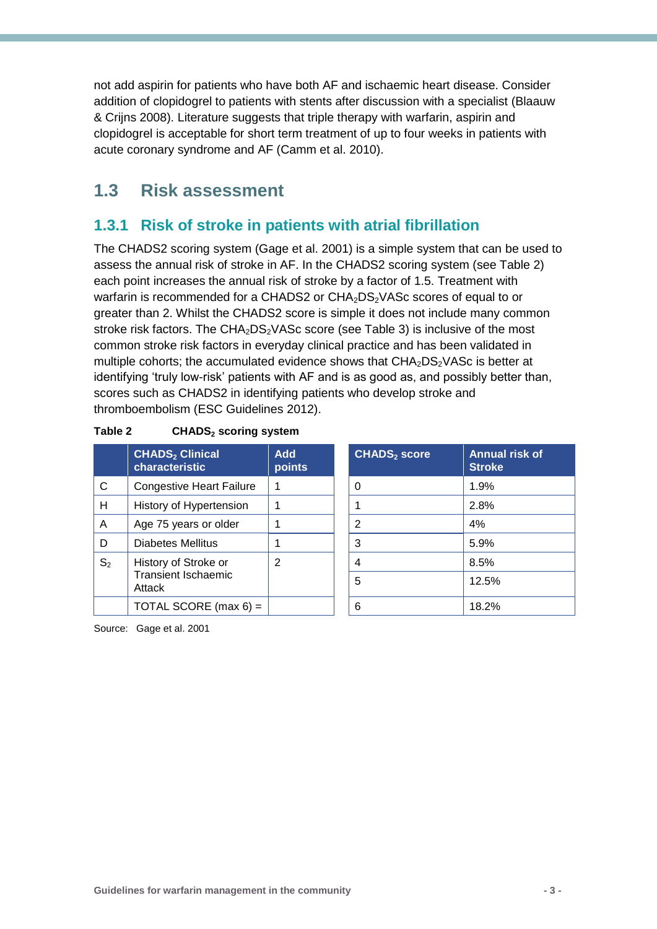not add aspirin for patients who have both AF and ischaemic heart disease. Consider addition of clopidogrel to patients with stents after discussion with a specialist (Blaauw & Crijns 2008). Literature suggests that triple therapy with warfarin, aspirin and clopidogrel is acceptable for short term treatment of up to four weeks in patients with acute coronary syndrome and AF (Camm et al. 2010).

### <span id="page-5-0"></span>**1.3 Risk assessment**

### <span id="page-5-1"></span>**1.3.1 Risk of stroke in patients with atrial fibrillation**

The CHADS2 scoring system (Gage et al. 2001) is a simple system that can be used to assess the annual risk of stroke in AF. In the CHADS2 scoring system (see Table 2) each point increases the annual risk of stroke by a factor of 1.5. Treatment with warfarin is recommended for a CHADS2 or CHA<sub>2</sub>DS<sub>2</sub>VASc scores of equal to or greater than 2. Whilst the CHADS2 score is simple it does not include many common stroke risk factors. The  $CHA<sub>2</sub>DS<sub>2</sub> VASC score$  (see Table 3) is inclusive of the most common stroke risk factors in everyday clinical practice and has been validated in multiple cohorts; the accumulated evidence shows that  $CHA<sub>2</sub>DS<sub>2</sub>VASC$  is better at identifying 'truly low-risk' patients with AF and is as good as, and possibly better than, scores such as CHADS2 in identifying patients who develop stroke and thromboembolism (ESC Guidelines 2012).

|                | <b>CHADS<sub>2</sub></b> Clinical<br>characteristic | <b>Add</b><br>points | <b>CHADS</b> <sub>2</sub> score | <b>Annua</b><br><b>Stroke</b> |
|----------------|-----------------------------------------------------|----------------------|---------------------------------|-------------------------------|
| C              | <b>Congestive Heart Failure</b>                     |                      | 0                               | 1.9%                          |
| H              | History of Hypertension                             |                      |                                 | 2.8%                          |
| A              | Age 75 years or older                               |                      | 2                               | 4%                            |
| D              | Diabetes Mellitus                                   |                      | 3                               | 5.9%                          |
| S <sub>2</sub> | History of Stroke or                                | 2                    | 4                               | 8.5%                          |
|                | <b>Transient Ischaemic</b><br>Attack                |                      | 5                               | 12.5%                         |
|                | TOTAL SCORE (max $6$ ) =                            |                      | 6                               | 18.2%                         |

#### **Table 2 CHADS<sup>2</sup> scoring system**

| <b>Add</b><br>points | <b>CHADS<sub>2</sub></b> score | <b>Annual risk of</b><br><b>Stroke</b> |
|----------------------|--------------------------------|----------------------------------------|
| 1                    | 0                              | 1.9%                                   |
| 1                    | 1                              | 2.8%                                   |
| 1                    | $\overline{2}$                 | 4%                                     |
| 1                    | 3                              | 5.9%                                   |
| 2                    | 4                              | 8.5%                                   |
|                      | 5                              | 12.5%                                  |
|                      | 6                              | 18.2%                                  |

Source: Gage et al. 2001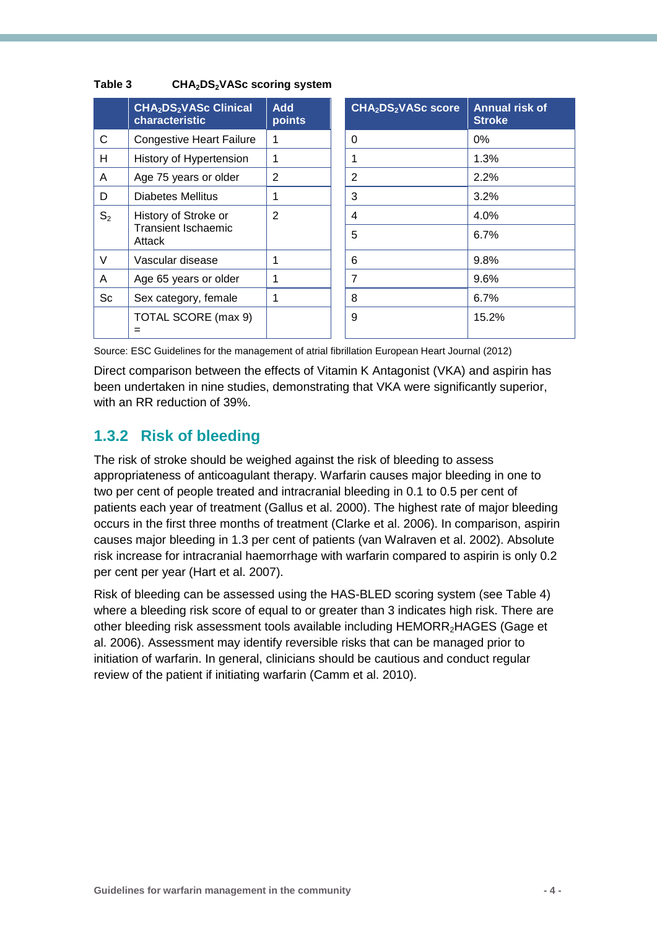|                | CHA <sub>2</sub> DS <sub>2</sub> VASc Clinical<br>characteristic | <b>Add</b><br>points | CHA <sub>2</sub> DS <sub>2</sub> VASc score | <b>Annual risk of</b><br><b>Stroke</b> |
|----------------|------------------------------------------------------------------|----------------------|---------------------------------------------|----------------------------------------|
| C              | <b>Congestive Heart Failure</b>                                  | 1                    | $\Omega$                                    | $0\%$                                  |
| H              | History of Hypertension                                          | 1                    | 1                                           | 1.3%                                   |
| A              | Age 75 years or older                                            | 2                    | 2                                           | 2.2%                                   |
| D              | Diabetes Mellitus                                                | 1                    | 3                                           | 3.2%                                   |
| S <sub>2</sub> | History of Stroke or                                             | $\mathfrak{p}$       | 4                                           | 4.0%                                   |
|                | <b>Transient Ischaemic</b><br>Attack                             |                      | 5                                           | 6.7%                                   |
| $\vee$         | Vascular disease                                                 | 1                    | 6                                           | 9.8%                                   |
| A              | Age 65 years or older                                            | 1                    | $\overline{7}$                              | 9.6%                                   |
| Sc             | Sex category, female                                             | 1                    | 8                                           | 6.7%                                   |
|                | TOTAL SCORE (max 9)                                              |                      | 9                                           | 15.2%                                  |
|                | =                                                                |                      |                                             |                                        |

### **Table 3 CHA2DS2VASc scoring system**

Source: ESC Guidelines for the management of atrial fibrillation European Heart Journal (2012)

Direct comparison between the effects of Vitamin K Antagonist (VKA) and aspirin has been undertaken in nine studies, demonstrating that VKA were significantly superior, with an RR reduction of 39%.

### <span id="page-6-0"></span>**1.3.2 Risk of bleeding**

The risk of stroke should be weighed against the risk of bleeding to assess appropriateness of anticoagulant therapy. Warfarin causes major bleeding in one to two per cent of people treated and intracranial bleeding in 0.1 to 0.5 per cent of patients each year of treatment (Gallus et al. 2000). The highest rate of major bleeding occurs in the first three months of treatment (Clarke et al. 2006). In comparison, aspirin causes major bleeding in 1.3 per cent of patients (van Walraven et al. 2002). Absolute risk increase for intracranial haemorrhage with warfarin compared to aspirin is only 0.2 per cent per year (Hart et al. 2007).

Risk of bleeding can be assessed using the HAS-BLED scoring system (see Table 4) where a bleeding risk score of equal to or greater than 3 indicates high risk. There are other bleeding risk assessment tools available including HEMORR<sub>2</sub>HAGES (Gage et al. 2006). Assessment may identify reversible risks that can be managed prior to initiation of warfarin. In general, clinicians should be cautious and conduct regular review of the patient if initiating warfarin (Camm et al. 2010).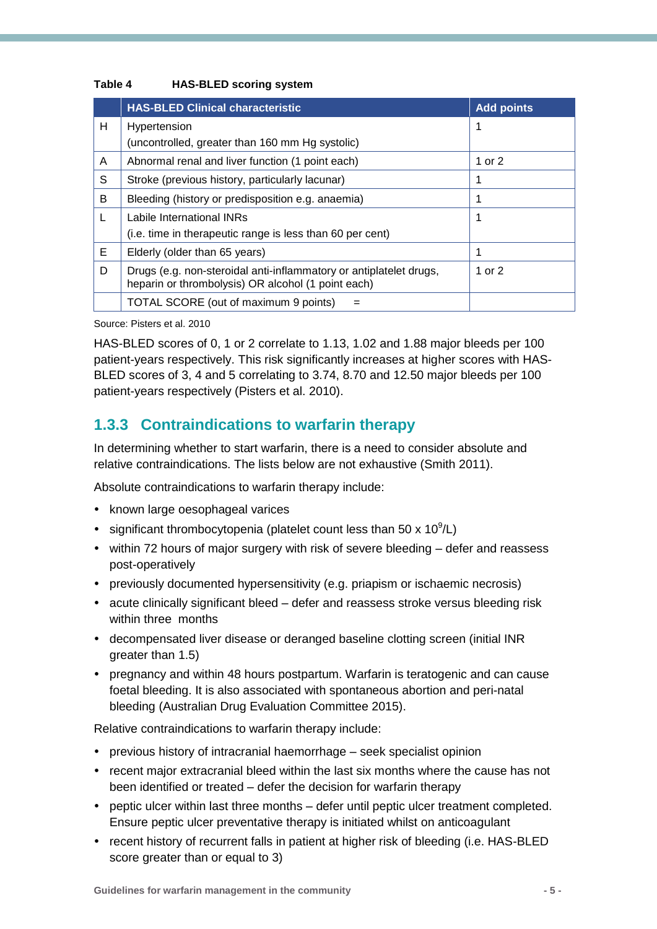#### **Table 4 HAS-BLED scoring system**

|   | <b>HAS-BLED Clinical characteristic</b>                                                                                  | <b>Add points</b> |
|---|--------------------------------------------------------------------------------------------------------------------------|-------------------|
| H | Hypertension                                                                                                             | 1                 |
|   | (uncontrolled, greater than 160 mm Hg systolic)                                                                          |                   |
| A | Abnormal renal and liver function (1 point each)                                                                         | 1 or 2            |
| S | Stroke (previous history, particularly lacunar)                                                                          | 1                 |
| B | Bleeding (history or predisposition e.g. anaemia)                                                                        | 1                 |
| L | Labile International INRs                                                                                                | 1                 |
|   | (i.e. time in therapeutic range is less than 60 per cent)                                                                |                   |
| Е | Elderly (older than 65 years)                                                                                            | 1                 |
| D | Drugs (e.g. non-steroidal anti-inflammatory or antiplatelet drugs,<br>heparin or thrombolysis) OR alcohol (1 point each) | 1 or 2            |
|   | TOTAL SCORE (out of maximum 9 points)                                                                                    |                   |

#### Source: Pisters et al. 2010

HAS-BLED scores of 0, 1 or 2 correlate to 1.13, 1.02 and 1.88 major bleeds per 100 patient-years respectively. This risk significantly increases at higher scores with HAS-BLED scores of 3, 4 and 5 correlating to 3.74, 8.70 and 12.50 major bleeds per 100 patient-years respectively (Pisters et al. 2010).

### <span id="page-7-0"></span>**1.3.3 Contraindications to warfarin therapy**

In determining whether to start warfarin, there is a need to consider absolute and relative contraindications. The lists below are not exhaustive (Smith 2011).

Absolute contraindications to warfarin therapy include:

- known large oesophageal varices
- significant thrombocytopenia (platelet count less than 50 x  $10^9$ /L)
- within 72 hours of major surgery with risk of severe bleeding defer and reassess post-operatively
- previously documented hypersensitivity (e.g. priapism or ischaemic necrosis)
- acute clinically significant bleed defer and reassess stroke versus bleeding risk within three months
- decompensated liver disease or deranged baseline clotting screen (initial INR greater than 1.5)
- pregnancy and within 48 hours postpartum. Warfarin is teratogenic and can cause foetal bleeding. It is also associated with spontaneous abortion and peri-natal bleeding (Australian Drug Evaluation Committee 2015).

Relative contraindications to warfarin therapy include:

- previous history of intracranial haemorrhage seek specialist opinion
- recent major extracranial bleed within the last six months where the cause has not been identified or treated – defer the decision for warfarin therapy
- peptic ulcer within last three months defer until peptic ulcer treatment completed. Ensure peptic ulcer preventative therapy is initiated whilst on anticoagulant
- recent history of recurrent falls in patient at higher risk of bleeding (i.e. HAS-BLED score greater than or equal to 3)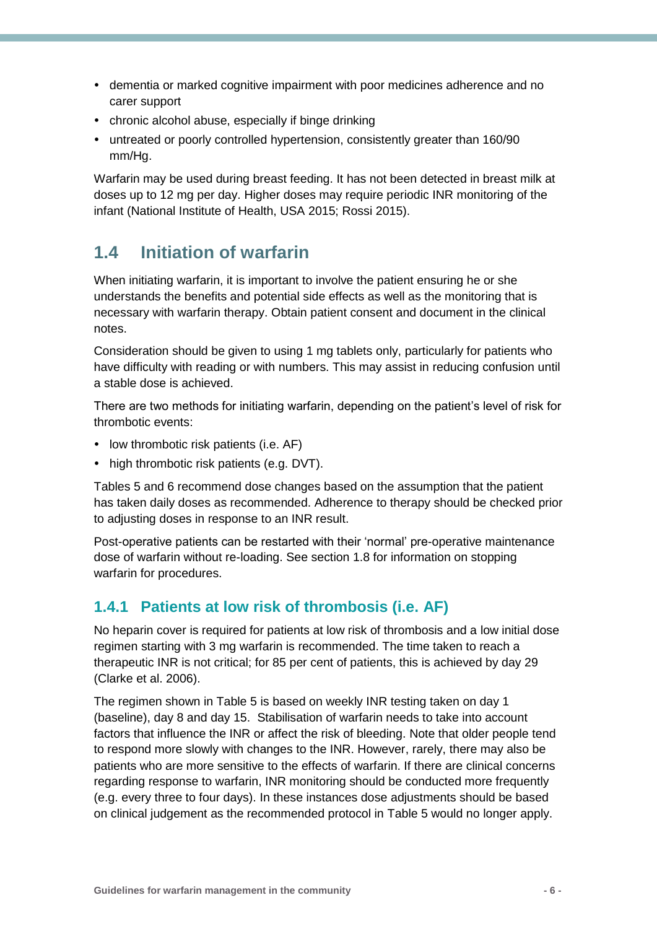- dementia or marked cognitive impairment with poor medicines adherence and no carer support
- chronic alcohol abuse, especially if binge drinking
- untreated or poorly controlled hypertension, consistently greater than 160/90 mm/Hg.

Warfarin may be used during breast feeding. It has not been detected in breast milk at doses up to 12 mg per day. Higher doses may require periodic INR monitoring of the infant (National Institute of Health, USA 2015; Rossi 2015).

## <span id="page-8-0"></span>**1.4 Initiation of warfarin**

When initiating warfarin, it is important to involve the patient ensuring he or she understands the benefits and potential side effects as well as the monitoring that is necessary with warfarin therapy. Obtain patient consent and document in the clinical notes.

Consideration should be given to using 1 mg tablets only, particularly for patients who have difficulty with reading or with numbers. This may assist in reducing confusion until a stable dose is achieved.

There are two methods for initiating warfarin, depending on the patient's level of risk for thrombotic events:

- low thrombotic risk patients (i.e. AF)
- high thrombotic risk patients (e.g. DVT).

Tables 5 and 6 recommend dose changes based on the assumption that the patient has taken daily doses as recommended. Adherence to therapy should be checked prior to adjusting doses in response to an INR result.

Post-operative patients can be restarted with their 'normal' pre-operative maintenance dose of warfarin without re-loading. See section 1.8 for information on stopping warfarin for procedures.

### <span id="page-8-1"></span>**1.4.1 Patients at low risk of thrombosis (i.e. AF)**

No heparin cover is required for patients at low risk of thrombosis and a low initial dose regimen starting with 3 mg warfarin is recommended. The time taken to reach a therapeutic INR is not critical; for 85 per cent of patients, this is achieved by day 29 (Clarke et al. 2006).

The regimen shown in Table 5 is based on weekly INR testing taken on day 1 (baseline), day 8 and day 15. Stabilisation of warfarin needs to take into account factors that influence the INR or affect the risk of bleeding. Note that older people tend to respond more slowly with changes to the INR. However, rarely, there may also be patients who are more sensitive to the effects of warfarin. If there are clinical concerns regarding response to warfarin, INR monitoring should be conducted more frequently (e.g. every three to four days). In these instances dose adjustments should be based on clinical judgement as the recommended protocol in Table 5 would no longer apply.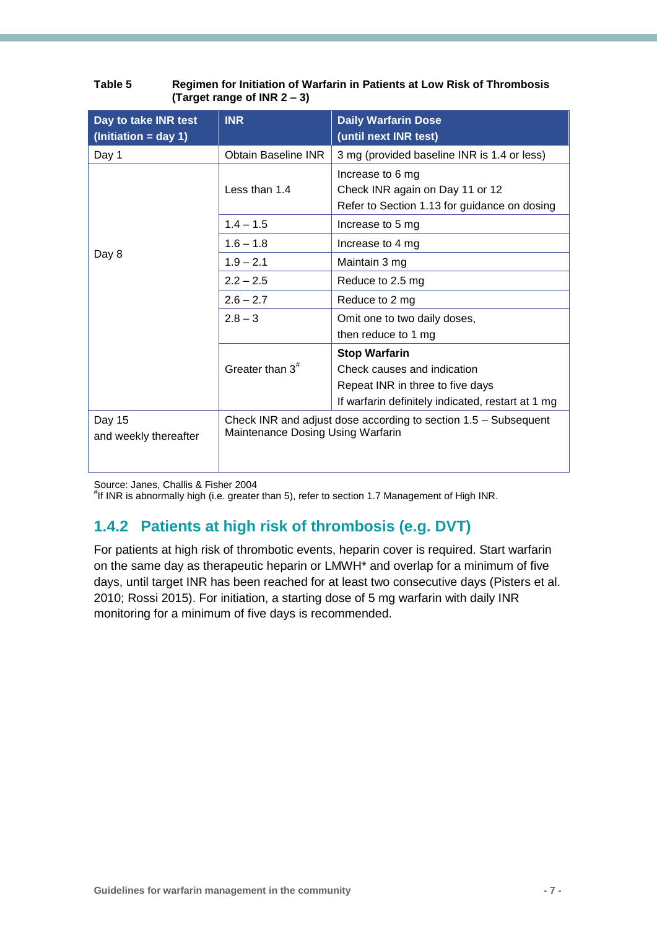| Day to take INR test<br>$ (Initiation = day 1)$ | <b>INR</b>                                                                                           | <b>Daily Warfarin Dose</b><br>(until next INR test)                                                 |  |  |
|-------------------------------------------------|------------------------------------------------------------------------------------------------------|-----------------------------------------------------------------------------------------------------|--|--|
| Day 1                                           | <b>Obtain Baseline INR</b>                                                                           | 3 mg (provided baseline INR is 1.4 or less)                                                         |  |  |
|                                                 | Less than 1.4                                                                                        | Increase to 6 mg<br>Check INR again on Day 11 or 12<br>Refer to Section 1.13 for guidance on dosing |  |  |
|                                                 | $1.4 - 1.5$                                                                                          | Increase to 5 mg                                                                                    |  |  |
|                                                 | $1.6 - 1.8$                                                                                          | Increase to 4 mg                                                                                    |  |  |
| Day 8                                           | $1.9 - 2.1$                                                                                          | Maintain 3 mg                                                                                       |  |  |
|                                                 | $2.2 - 2.5$                                                                                          | Reduce to 2.5 mg                                                                                    |  |  |
|                                                 | $2.6 - 2.7$                                                                                          | Reduce to 2 mg                                                                                      |  |  |
|                                                 | $2.8 - 3$                                                                                            | Omit one to two daily doses,                                                                        |  |  |
|                                                 |                                                                                                      | then reduce to 1 mg                                                                                 |  |  |
|                                                 |                                                                                                      | <b>Stop Warfarin</b>                                                                                |  |  |
|                                                 | Greater than $3^{\#}$                                                                                | Check causes and indication                                                                         |  |  |
|                                                 |                                                                                                      | Repeat INR in three to five days                                                                    |  |  |
|                                                 |                                                                                                      | If warfarin definitely indicated, restart at 1 mg                                                   |  |  |
| Day 15<br>and weekly thereafter                 | Check INR and adjust dose according to section 1.5 – Subsequent<br>Maintenance Dosing Using Warfarin |                                                                                                     |  |  |

#### **Table 5 Regimen for Initiation of Warfarin in Patients at Low Risk of Thrombosis (Target range of INR 2 – 3)**

Source: Janes, Challis & Fisher 2004

# If INR is abnormally high (i.e. greater than 5), refer to section 1.7 Management of High INR.

### <span id="page-9-0"></span>**1.4.2 Patients at high risk of thrombosis (e.g. DVT)**

For patients at high risk of thrombotic events, heparin cover is required. Start warfarin on the same day as therapeutic heparin or LMWH\* and overlap for a minimum of five days, until target INR has been reached for at least two consecutive days (Pisters et al. 2010; Rossi 2015). For initiation, a starting dose of 5 mg warfarin with daily INR monitoring for a minimum of five days is recommended.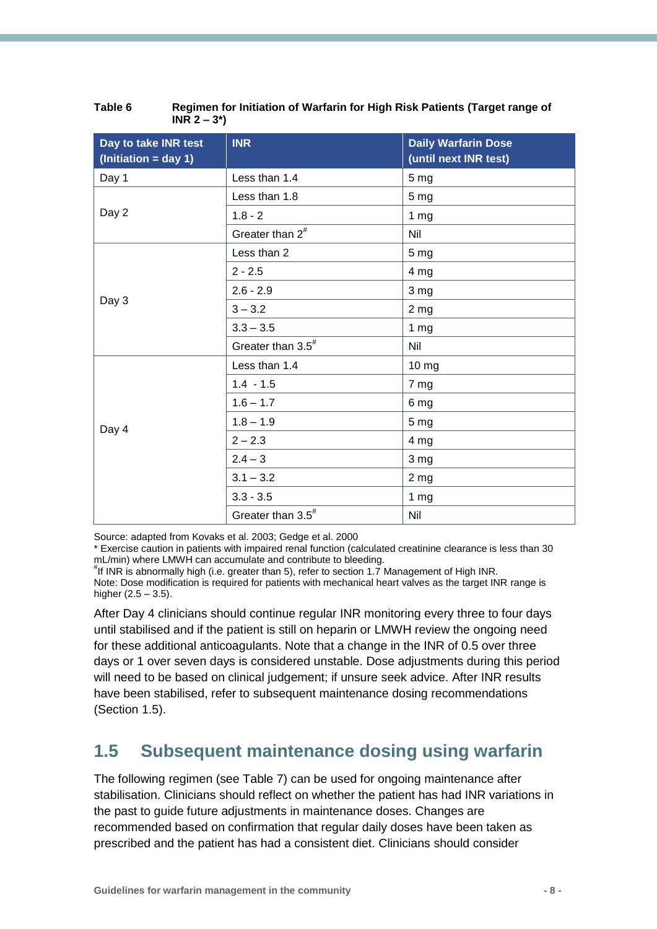| Day to take INR test<br>$\left(\text{Initiation} = \text{day 1}\right)$ | <b>INR</b>                    | <b>Daily Warfarin Dose</b><br>(until next INR test) |  |  |
|-------------------------------------------------------------------------|-------------------------------|-----------------------------------------------------|--|--|
| Day 1                                                                   | Less than 1.4                 | 5 <sub>mg</sub>                                     |  |  |
|                                                                         | Less than 1.8                 | 5 <sub>mg</sub>                                     |  |  |
| Day 2                                                                   | $1.8 - 2$                     | 1 <sub>mg</sub>                                     |  |  |
|                                                                         | Greater than $2^{\#}$         | Nil                                                 |  |  |
|                                                                         | Less than 2                   | 5 <sub>mg</sub>                                     |  |  |
|                                                                         | $2 - 2.5$                     | 4 mg                                                |  |  |
|                                                                         | $2.6 - 2.9$                   | 3 mg                                                |  |  |
| Day 3                                                                   | $3 - 3.2$                     | 2 <sub>mg</sub>                                     |  |  |
|                                                                         | $3.3 - 3.5$                   | 1 <sub>mg</sub>                                     |  |  |
|                                                                         | Greater than 3.5 <sup>#</sup> | Nil                                                 |  |  |
|                                                                         | Less than 1.4                 | 10 <sub>mg</sub>                                    |  |  |
|                                                                         | $1.4 - 1.5$                   | 7 mg                                                |  |  |
|                                                                         | $1.6 - 1.7$                   | 6 mg                                                |  |  |
| Day 4                                                                   | $1.8 - 1.9$                   | 5 <sub>mg</sub>                                     |  |  |
|                                                                         | $2 - 2.3$                     | 4 mg                                                |  |  |
|                                                                         | $2.4 - 3$                     | 3 mg                                                |  |  |
|                                                                         | $3.1 - 3.2$                   | 2 <sub>mg</sub>                                     |  |  |
|                                                                         | $3.3 - 3.5$                   | 1 <sub>mg</sub>                                     |  |  |
|                                                                         | Greater than $3.5^{\text{#}}$ | Nil                                                 |  |  |

| Table 6 | Regimen for Initiation of Warfarin for High Risk Patients (Target range of |
|---------|----------------------------------------------------------------------------|
|         | $INR 2 - 3^{\ast})$                                                        |

Source: adapted from Kovaks et al. 2003; Gedge et al. 2000

\* Exercise caution in patients with impaired renal function (calculated creatinine clearance is less than 30 mL/min) where LMWH can accumulate and contribute to bleeding.

# If INR is abnormally high (i.e. greater than 5), refer to section 1.7 Management of High INR. Note: Dose modification is required for patients with mechanical heart valves as the target INR range is higher  $(2.5 - 3.5)$ .

After Day 4 clinicians should continue regular INR monitoring every three to four days until stabilised and if the patient is still on heparin or LMWH review the ongoing need for these additional anticoagulants. Note that a change in the INR of 0.5 over three days or 1 over seven days is considered unstable. Dose adjustments during this period will need to be based on clinical judgement; if unsure seek advice. After INR results have been stabilised, refer to subsequent maintenance dosing recommendations (Section 1.5).

## <span id="page-10-0"></span>**1.5 Subsequent maintenance dosing using warfarin**

The following regimen (see Table 7) can be used for ongoing maintenance after stabilisation. Clinicians should reflect on whether the patient has had INR variations in the past to guide future adjustments in maintenance doses. Changes are recommended based on confirmation that regular daily doses have been taken as prescribed and the patient has had a consistent diet. Clinicians should consider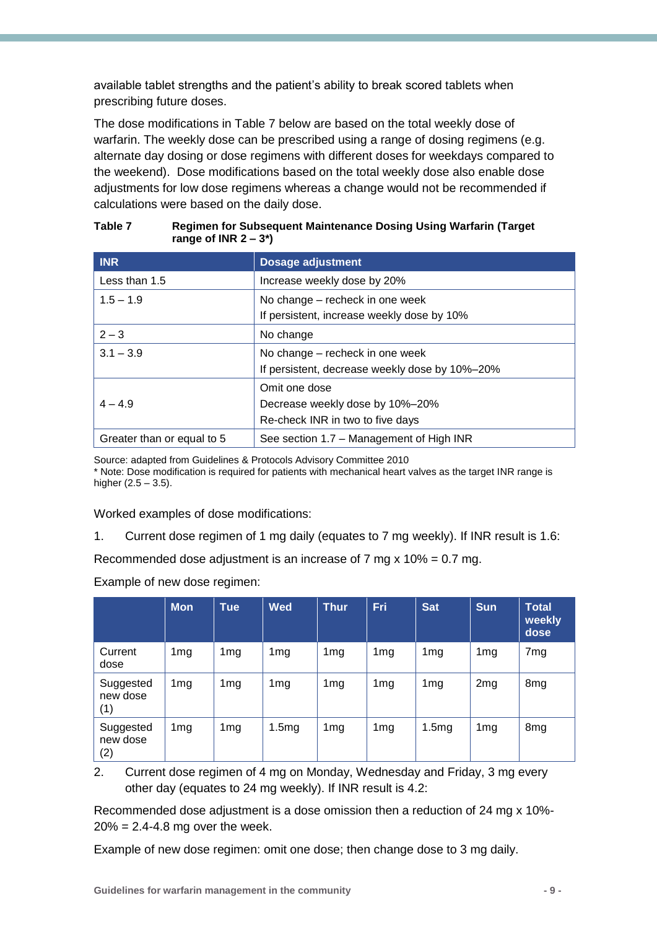available tablet strengths and the patient's ability to break scored tablets when prescribing future doses.

The dose modifications in Table 7 below are based on the total weekly dose of warfarin. The weekly dose can be prescribed using a range of dosing regimens (e.g. alternate day dosing or dose regimens with different doses for weekdays compared to the weekend). Dose modifications based on the total weekly dose also enable dose adjustments for low dose regimens whereas a change would not be recommended if calculations were based on the daily dose.

| <b>INR</b>                 | <b>Dosage adjustment</b>                       |
|----------------------------|------------------------------------------------|
| Less than 1.5              | Increase weekly dose by 20%                    |
| $1.5 - 1.9$                | No change - recheck in one week                |
|                            | If persistent, increase weekly dose by 10%     |
| $2 - 3$                    | No change                                      |
| $3.1 - 3.9$                | No change – recheck in one week                |
|                            | If persistent, decrease weekly dose by 10%-20% |
|                            | Omit one dose                                  |
| $4 - 4.9$                  | Decrease weekly dose by 10%-20%                |
|                            | Re-check INR in two to five days               |
| Greater than or equal to 5 | See section 1.7 – Management of High INR       |

#### **Table 7 Regimen for Subsequent Maintenance Dosing Using Warfarin (Target range of INR 2 – 3\*)**

Source: adapted from Guidelines & Protocols Advisory Committee 2010

\* Note: Dose modification is required for patients with mechanical heart valves as the target INR range is higher  $(2.5 - 3.5)$ .

Worked examples of dose modifications:

1. Current dose regimen of 1 mg daily (equates to 7 mg weekly). If INR result is 1.6:

Recommended dose adjustment is an increase of 7 mg  $x$  10% = 0.7 mg.

Example of new dose regimen:

|                              | <b>Mon</b>      | <b>Tue</b>      | <b>Wed</b>      | <b>Thur</b>     | <b>Fri</b>      | <b>Sat</b>      | <b>Sun</b>      | <b>Total</b><br>weekly<br>dose |
|------------------------------|-----------------|-----------------|-----------------|-----------------|-----------------|-----------------|-----------------|--------------------------------|
| Current<br>dose              | 1 <sub>mg</sub> | 1 <sub>mg</sub> | 1 <sub>mg</sub> | 1 <sub>mg</sub> | 1 <sub>mg</sub> | 1 <sub>mg</sub> | 1 <sub>mg</sub> | 7 <sub>mg</sub>                |
| Suggested<br>new dose<br>(1) | 1 <sub>mg</sub> | 1 <sub>mg</sub> | 1 <sub>mg</sub> | 1 <sub>mg</sub> | 1 <sub>mg</sub> | 1 <sub>mg</sub> | 2mg             | 8 <sub>mg</sub>                |
| Suggested<br>new dose<br>(2) | 1 <sub>mg</sub> | 1 <sub>mg</sub> | 1.5mg           | 1 <sub>mg</sub> | 1 <sub>mg</sub> | 1.5mg           | 1 <sub>mg</sub> | 8 <sub>mg</sub>                |

2. Current dose regimen of 4 mg on Monday, Wednesday and Friday, 3 mg every other day (equates to 24 mg weekly). If INR result is 4.2:

Recommended dose adjustment is a dose omission then a reduction of 24 mg x 10%-  $20\% = 2.4 - 4.8$  mg over the week.

Example of new dose regimen: omit one dose; then change dose to 3 mg daily.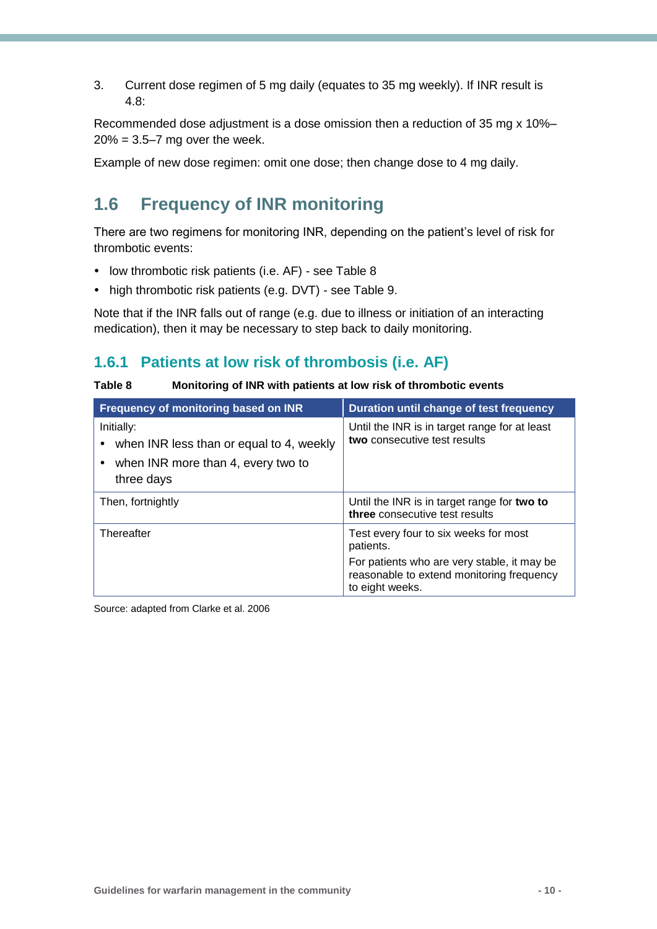3. Current dose regimen of 5 mg daily (equates to 35 mg weekly). If INR result is 4.8:

Recommended dose adjustment is a dose omission then a reduction of 35 mg x 10%–  $20\% = 3.5 - 7$  mg over the week.

Example of new dose regimen: omit one dose; then change dose to 4 mg daily.

## <span id="page-12-0"></span>**1.6 Frequency of INR monitoring**

There are two regimens for monitoring INR, depending on the patient's level of risk for thrombotic events:

- low thrombotic risk patients (i.e. AF) see Table 8
- high thrombotic risk patients (e.g. DVT) see Table 9.

Note that if the INR falls out of range (e.g. due to illness or initiation of an interacting medication), then it may be necessary to step back to daily monitoring.

### <span id="page-12-1"></span>**1.6.1 Patients at low risk of thrombosis (i.e. AF)**

**Table 8 Monitoring of INR with patients at low risk of thrombotic events**

| Frequency of monitoring based on INR                                                                       | Duration until change of test frequency                                                                     |
|------------------------------------------------------------------------------------------------------------|-------------------------------------------------------------------------------------------------------------|
| Initially:<br>when INR less than or equal to 4, weekly<br>when INR more than 4, every two to<br>three days | Until the INR is in target range for at least<br>two consecutive test results                               |
| Then, fortnightly                                                                                          | Until the INR is in target range for two to<br>three consecutive test results                               |
| Thereafter                                                                                                 | Test every four to six weeks for most<br>patients.                                                          |
|                                                                                                            | For patients who are very stable, it may be<br>reasonable to extend monitoring frequency<br>to eight weeks. |

Source: adapted from Clarke et al. 2006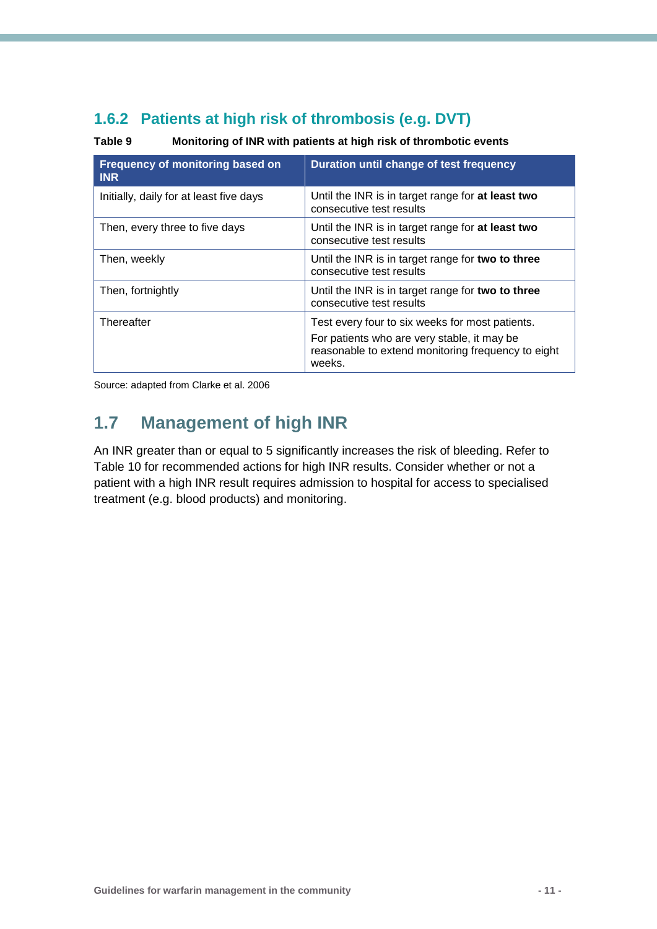### <span id="page-13-0"></span>**1.6.2 Patients at high risk of thrombosis (e.g. DVT)**

**Table 9 Monitoring of INR with patients at high risk of thrombotic events**

| Frequency of monitoring based on<br><b>INR</b> | Duration until change of test frequency                                                                                                                        |
|------------------------------------------------|----------------------------------------------------------------------------------------------------------------------------------------------------------------|
| Initially, daily for at least five days        | Until the INR is in target range for at least two<br>consecutive test results                                                                                  |
| Then, every three to five days                 | Until the INR is in target range for at least two<br>consecutive test results                                                                                  |
| Then, weekly                                   | Until the INR is in target range for two to three<br>consecutive test results                                                                                  |
| Then, fortnightly                              | Until the INR is in target range for two to three<br>consecutive test results                                                                                  |
| Thereafter                                     | Test every four to six weeks for most patients.<br>For patients who are very stable, it may be<br>reasonable to extend monitoring frequency to eight<br>weeks. |

Source: adapted from Clarke et al. 2006

## <span id="page-13-1"></span>**1.7 Management of high INR**

An INR greater than or equal to 5 significantly increases the risk of bleeding. Refer to Table 10 for recommended actions for high INR results. Consider whether or not a patient with a high INR result requires admission to hospital for access to specialised treatment (e.g. blood products) and monitoring.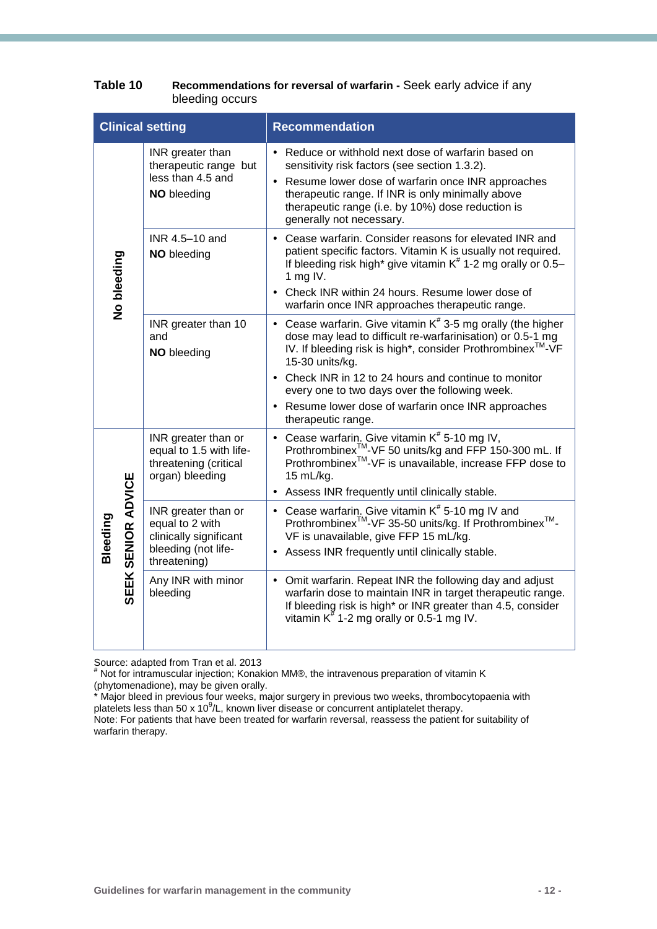|             | <b>Clinical setting</b>                                                                                                       | <b>Recommendation</b>                                                                                                                                                                                                                                                                                                                                                                                             |
|-------------|-------------------------------------------------------------------------------------------------------------------------------|-------------------------------------------------------------------------------------------------------------------------------------------------------------------------------------------------------------------------------------------------------------------------------------------------------------------------------------------------------------------------------------------------------------------|
|             | INR greater than<br>therapeutic range but<br>less than 4.5 and<br>NO bleeding                                                 | • Reduce or withhold next dose of warfarin based on<br>sensitivity risk factors (see section 1.3.2).<br>• Resume lower dose of warfarin once INR approaches<br>therapeutic range. If INR is only minimally above<br>therapeutic range (i.e. by 10%) dose reduction is<br>generally not necessary.                                                                                                                 |
| No bleeding | INR 4.5-10 and<br><b>NO</b> bleeding                                                                                          | • Cease warfarin. Consider reasons for elevated INR and<br>patient specific factors. Vitamin K is usually not required.<br>If bleeding risk high* give vitamin K <sup>#</sup> 1-2 mg orally or 0.5-<br>1 mg IV.<br>• Check INR within 24 hours. Resume lower dose of<br>warfarin once INR approaches therapeutic range.                                                                                           |
|             | INR greater than 10<br>and<br>NO bleeding                                                                                     | • Cease warfarin. Give vitamin $K^*$ 3-5 mg orally (the higher<br>dose may lead to difficult re-warfarinisation) or 0.5-1 mg<br>IV. If bleeding risk is high*, consider Prothrombinex <sup>™-</sup> VF<br>15-30 units/kg.<br>• Check INR in 12 to 24 hours and continue to monitor<br>every one to two days over the following week.<br>• Resume lower dose of warfarin once INR approaches<br>therapeutic range. |
|             | INR greater than or<br>equal to 1.5 with life-<br>threatening (critical<br>organ) bleeding                                    | • Cease warfarin. Give vitamin $K^*$ 5-10 mg IV,<br>Prothrombinex <sup>™</sup> -VF 50 units/kg and FFP 150-300 mL. If<br>Prothrombinex <sup>™</sup> -VF is unavailable, increase FFP dose to<br>15 mL/kg.<br>• Assess INR frequently until clinically stable.                                                                                                                                                     |
| Bleeding    | SEEK SENIOR ADVICE<br>INR greater than or<br>equal to 2 with<br>clinically significant<br>bleeding (not life-<br>threatening) | • Cease warfarin. Give vitamin $K^*$ 5-10 mg IV and<br>Prothrombinex <sup>™</sup> -VF 35-50 units/kg. If Prothrombinex <sup>™</sup> -<br>VF is unavailable, give FFP 15 mL/kg.<br>• Assess INR frequently until clinically stable.                                                                                                                                                                                |
|             | Any INR with minor<br>bleeding                                                                                                | • Omit warfarin. Repeat INR the following day and adjust<br>warfarin dose to maintain INR in target therapeutic range.<br>If bleeding risk is high* or INR greater than 4.5, consider<br>vitamin $K^{\#}$ 1-2 mg orally or 0.5-1 mg IV.                                                                                                                                                                           |

| Table 10 | Recommendations for reversal of warfarin - Seek early advice if any |
|----------|---------------------------------------------------------------------|
|          | bleeding occurs                                                     |

Source: adapted from Tran et al. 2013

# Not for intramuscular injection; Konakion MM®, the intravenous preparation of vitamin K (phytomenadione), may be given orally.

\* Major bleed in previous four weeks, major surgery in previous two weeks, thrombocytopaenia with platelets less than 50 x 10 $\degree$ /L, known liver disease or concurrent antiplatelet therapy.

Note: For patients that have been treated for warfarin reversal, reassess the patient for suitability of warfarin therapy.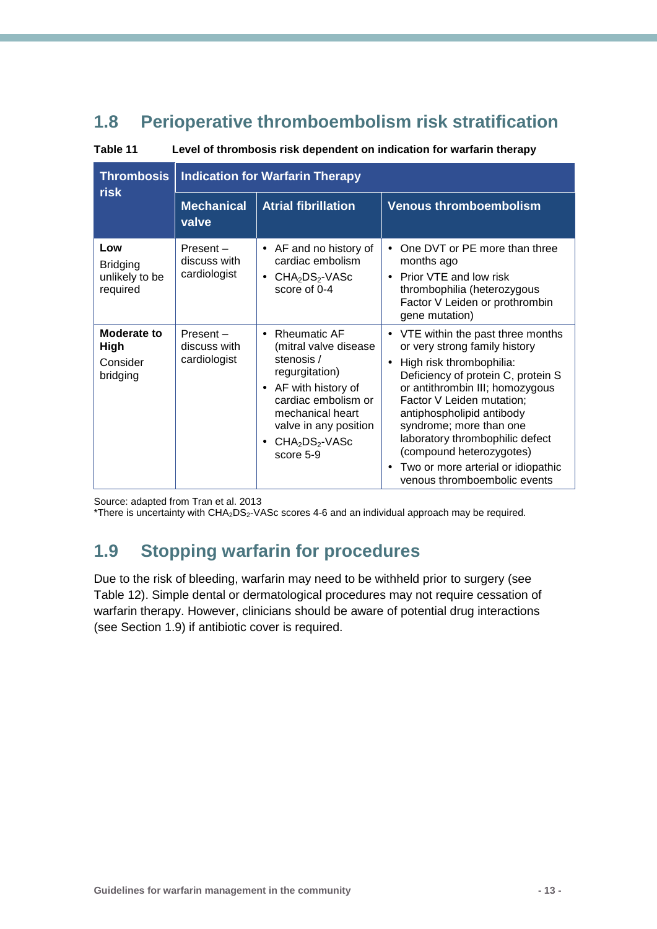## <span id="page-15-0"></span>**1.8 Perioperative thromboembolism risk stratification**

**Table 11 Level of thrombosis risk dependent on indication for warfarin therapy**

| <b>Thrombosis</b>                                    | <b>Indication for Warfarin Therapy</b>   |                                                                                                                                                                                                               |                                                                                                                                                                                                                                                                                                                                                                                                                              |
|------------------------------------------------------|------------------------------------------|---------------------------------------------------------------------------------------------------------------------------------------------------------------------------------------------------------------|------------------------------------------------------------------------------------------------------------------------------------------------------------------------------------------------------------------------------------------------------------------------------------------------------------------------------------------------------------------------------------------------------------------------------|
| <b>risk</b>                                          | <b>Mechanical</b><br>valve               | <b>Atrial fibrillation</b>                                                                                                                                                                                    | <b>Venous thromboembolism</b>                                                                                                                                                                                                                                                                                                                                                                                                |
| Low<br><b>Bridging</b><br>unlikely to be<br>required | Present-<br>discuss with<br>cardiologist | • AF and no history of<br>cardiac embolism<br>$CHA2DS2-VASC$<br>score of 0-4                                                                                                                                  | One DVT or PE more than three<br>$\bullet$<br>months ago<br>Prior VTE and low risk<br>$\bullet$<br>thrombophilia (heterozygous<br>Factor V Leiden or prothrombin<br>gene mutation)                                                                                                                                                                                                                                           |
| Moderate to<br><b>High</b><br>Consider<br>bridging   | Present-<br>discuss with<br>cardiologist | • Rheumatic AF<br>(mitral valve disease<br>stenosis /<br>regurgitation)<br>AF with history of<br>$\bullet$<br>cardiac embolism or<br>mechanical heart<br>valve in any position<br>$CHA2DS2-VASC$<br>score 5-9 | • VTE within the past three months<br>or very strong family history<br>High risk thrombophilia:<br>$\bullet$<br>Deficiency of protein C, protein S<br>or antithrombin III; homozygous<br>Factor V Leiden mutation;<br>antiphospholipid antibody<br>syndrome; more than one<br>laboratory thrombophilic defect<br>(compound heterozygotes)<br>Two or more arterial or idiopathic<br>$\bullet$<br>venous thromboembolic events |

Source: adapted from Tran et al. 2013

\*There is uncertainty with CHA<sub>2</sub>DS<sub>2</sub>-VASc scores 4-6 and an individual approach may be required.

## <span id="page-15-1"></span>**1.9 Stopping warfarin for procedures**

Due to the risk of bleeding, warfarin may need to be withheld prior to surgery (see Table 12). Simple dental or dermatological procedures may not require cessation of warfarin therapy. However, clinicians should be aware of potential drug interactions (see Section 1.9) if antibiotic cover is required.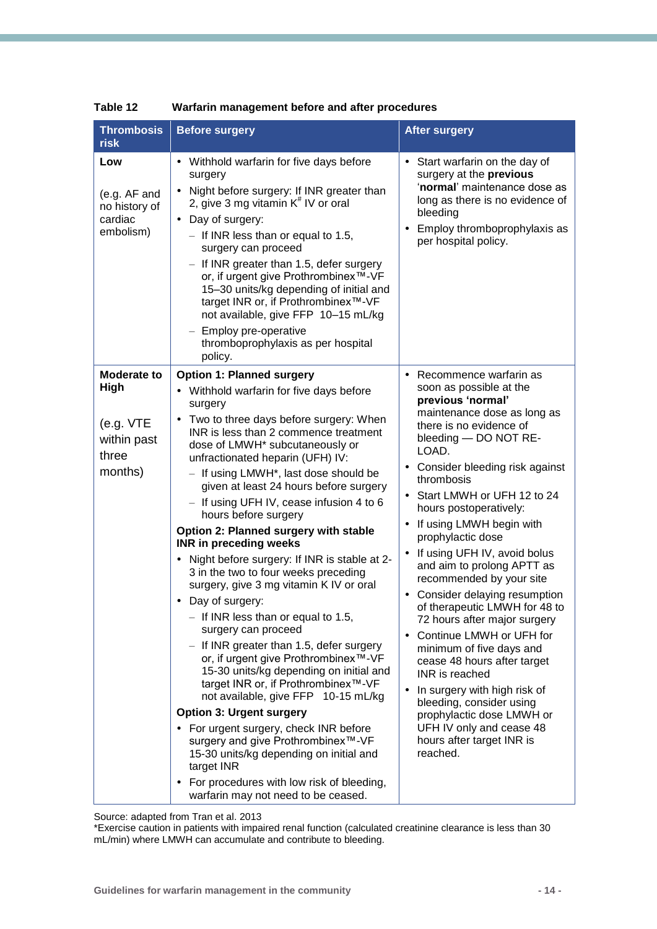| <b>Thrombosis</b><br><b>risk</b>                             | <b>Before surgery</b>                                                                                                                                                                                                                                                                                                                                                                                                                                                                                                                                                                                                                                                                                                                                                                                                                                                                                                                                                                                                                                                                                                                                         | <b>After surgery</b>                                                                                                                                                                                                                                                                                                                                                                                                                                                                                                                                                                                                                                                                                                                                                                        |
|--------------------------------------------------------------|---------------------------------------------------------------------------------------------------------------------------------------------------------------------------------------------------------------------------------------------------------------------------------------------------------------------------------------------------------------------------------------------------------------------------------------------------------------------------------------------------------------------------------------------------------------------------------------------------------------------------------------------------------------------------------------------------------------------------------------------------------------------------------------------------------------------------------------------------------------------------------------------------------------------------------------------------------------------------------------------------------------------------------------------------------------------------------------------------------------------------------------------------------------|---------------------------------------------------------------------------------------------------------------------------------------------------------------------------------------------------------------------------------------------------------------------------------------------------------------------------------------------------------------------------------------------------------------------------------------------------------------------------------------------------------------------------------------------------------------------------------------------------------------------------------------------------------------------------------------------------------------------------------------------------------------------------------------------|
| Low<br>(e.g. AF and<br>no history of<br>cardiac<br>embolism) | • Withhold warfarin for five days before<br>surgery<br>Night before surgery: If INR greater than<br>$\bullet$<br>2, give 3 mg vitamin $K^{\#}$ IV or oral<br>• Day of surgery:<br>$-$ If INR less than or equal to 1.5,<br>surgery can proceed<br>If INR greater than 1.5, defer surgery<br>or, if urgent give Prothrombinex <sup>™</sup> -VF<br>15-30 units/kg depending of initial and<br>target INR or, if Prothrombinex <sup>™</sup> -VF<br>not available, give FFP 10-15 mL/kg<br>Employ pre-operative<br>thromboprophylaxis as per hospital<br>policy.                                                                                                                                                                                                                                                                                                                                                                                                                                                                                                                                                                                                  | Start warfarin on the day of<br>$\bullet$<br>surgery at the previous<br>'normal' maintenance dose as<br>long as there is no evidence of<br>bleeding<br>Employ thromboprophylaxis as<br>$\bullet$<br>per hospital policy.                                                                                                                                                                                                                                                                                                                                                                                                                                                                                                                                                                    |
| <b>Moderate to</b><br>High                                   | <b>Option 1: Planned surgery</b><br>Withhold warfarin for five days before                                                                                                                                                                                                                                                                                                                                                                                                                                                                                                                                                                                                                                                                                                                                                                                                                                                                                                                                                                                                                                                                                    | Recommence warfarin as<br>$\bullet$<br>soon as possible at the<br>previous 'normal'                                                                                                                                                                                                                                                                                                                                                                                                                                                                                                                                                                                                                                                                                                         |
| (e.g. VTE)<br>within past<br>three<br>months)                | surgery<br>Two to three days before surgery: When<br>$\bullet$<br>INR is less than 2 commence treatment<br>dose of LMWH* subcutaneously or<br>unfractionated heparin (UFH) IV:<br>- If using LMWH <sup>*</sup> , last dose should be<br>given at least 24 hours before surgery<br>- If using UFH IV, cease infusion 4 to 6<br>hours before surgery<br>Option 2: Planned surgery with stable<br><b>INR in preceding weeks</b><br>• Night before surgery: If INR is stable at 2-<br>3 in the two to four weeks preceding<br>surgery, give 3 mg vitamin K IV or oral<br>• Day of surgery:<br>$-$ If INR less than or equal to 1.5,<br>surgery can proceed<br>If INR greater than 1.5, defer surgery<br>or, if urgent give Prothrombinex <sup>™</sup> -VF<br>15-30 units/kg depending on initial and<br>target INR or, if Prothrombinex <sup>™</sup> -VF<br>not available, give FFP 10-15 mL/kg<br><b>Option 3: Urgent surgery</b><br>• For urgent surgery, check INR before<br>surgery and give Prothrombinex™-VF<br>15-30 units/kg depending on initial and<br>target INR<br>• For procedures with low risk of bleeding,<br>warfarin may not need to be ceased. | maintenance dose as long as<br>there is no evidence of<br>bleeding - DO NOT RE-<br>LOAD.<br>Consider bleeding risk against<br>$\bullet$<br>thrombosis<br>• Start LMWH or UFH 12 to 24<br>hours postoperatively:<br>If using LMWH begin with<br>٠<br>prophylactic dose<br>If using UFH IV, avoid bolus<br>$\bullet$<br>and aim to prolong APTT as<br>recommended by your site<br>Consider delaying resumption<br>$\bullet$<br>of therapeutic LMWH for 48 to<br>72 hours after major surgery<br>Continue LMWH or UFH for<br>$\bullet$<br>minimum of five days and<br>cease 48 hours after target<br>INR is reached<br>In surgery with high risk of<br>$\bullet$<br>bleeding, consider using<br>prophylactic dose LMWH or<br>UFH IV only and cease 48<br>hours after target INR is<br>reached. |

**Table 12 Warfarin management before and after procedures**

Source: adapted from Tran et al. 2013

\*Exercise caution in patients with impaired renal function (calculated creatinine clearance is less than 30 mL/min) where LMWH can accumulate and contribute to bleeding.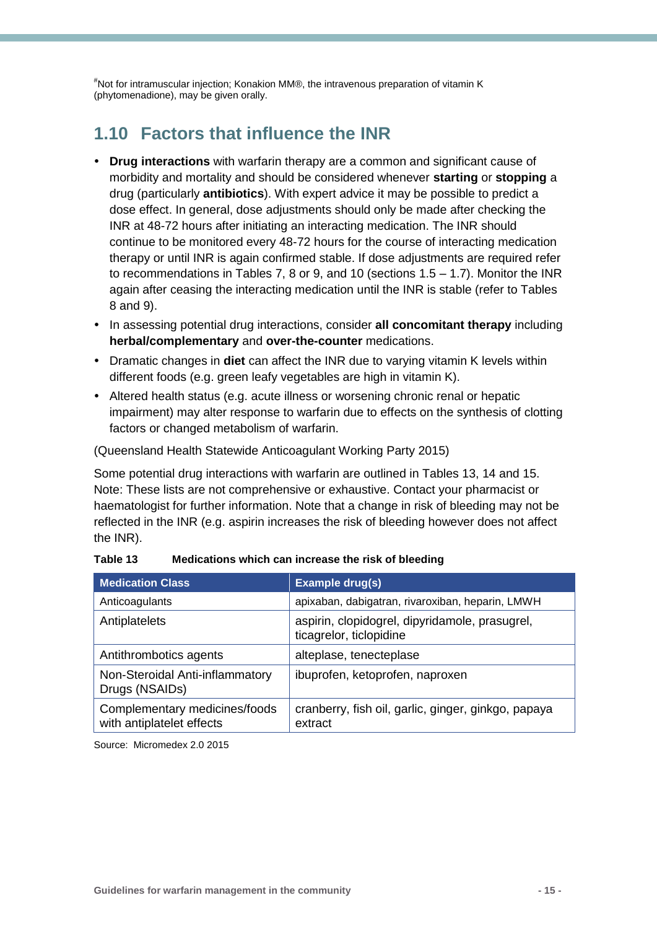#Not for intramuscular injection; Konakion MM®, the intravenous preparation of vitamin K (phytomenadione), may be given orally.

## <span id="page-17-0"></span>**1.10 Factors that influence the INR**

- **Drug interactions** with warfarin therapy are a common and significant cause of morbidity and mortality and should be considered whenever **starting** or **stopping** a drug (particularly **antibiotics**). With expert advice it may be possible to predict a dose effect. In general, dose adjustments should only be made after checking the INR at 48-72 hours after initiating an interacting medication. The INR should continue to be monitored every 48-72 hours for the course of interacting medication therapy or until INR is again confirmed stable. If dose adjustments are required refer to recommendations in Tables 7, 8 or 9, and 10 (sections  $1.5 - 1.7$ ). Monitor the INR again after ceasing the interacting medication until the INR is stable (refer to Tables 8 and 9).
- **In assessing potential drug interactions, consider all concomitant therapy including herbal/complementary** and **over-the-counter** medications.
- Dramatic changes in **diet** can affect the INR due to varying vitamin K levels within different foods (e.g. green leafy vegetables are high in vitamin K).
- Altered health status (e.g. acute illness or worsening chronic renal or hepatic impairment) may alter response to warfarin due to effects on the synthesis of clotting factors or changed metabolism of warfarin.

(Queensland Health Statewide Anticoagulant Working Party 2015)

Some potential drug interactions with warfarin are outlined in Tables 13, 14 and 15. Note: These lists are not comprehensive or exhaustive. Contact your pharmacist or haematologist for further information. Note that a change in risk of bleeding may not be reflected in the INR (e.g. aspirin increases the risk of bleeding however does not affect the INR).

| <b>Medication Class</b>                                    | Example drug(s)                                                           |
|------------------------------------------------------------|---------------------------------------------------------------------------|
| Anticoagulants                                             | apixaban, dabigatran, rivaroxiban, heparin, LMWH                          |
| Antiplatelets                                              | aspirin, clopidogrel, dipyridamole, prasugrel,<br>ticagrelor, ticlopidine |
| Antithrombotics agents                                     | alteplase, tenecteplase                                                   |
| Non-Steroidal Anti-inflammatory<br>Drugs (NSAIDs)          | ibuprofen, ketoprofen, naproxen                                           |
| Complementary medicines/foods<br>with antiplatelet effects | cranberry, fish oil, garlic, ginger, ginkgo, papaya<br>extract            |

| Table 13 | Medications which can increase the risk of bleeding |  |
|----------|-----------------------------------------------------|--|
|----------|-----------------------------------------------------|--|

Source: Micromedex 2.0 2015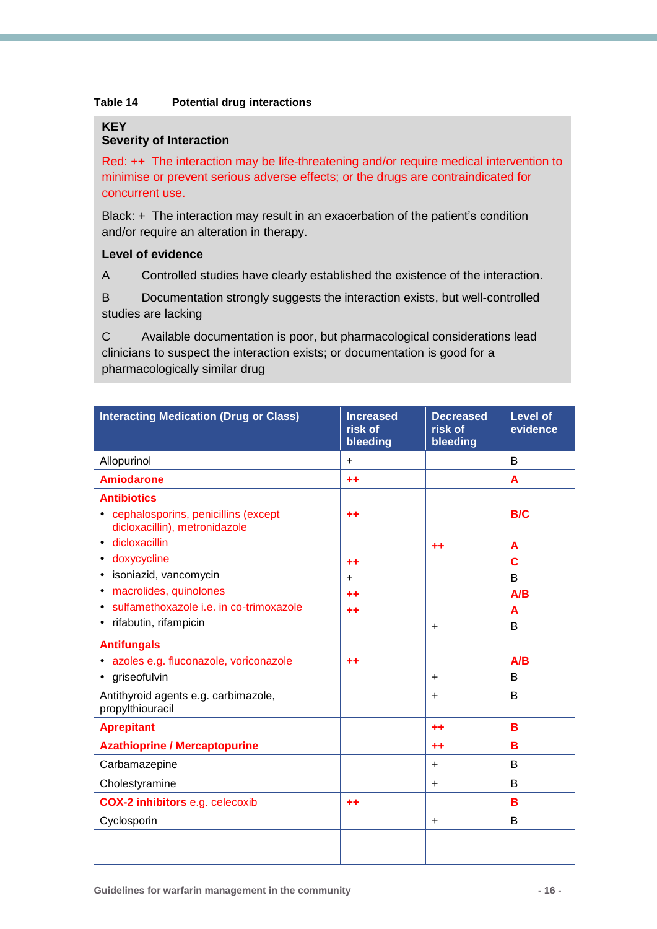#### **Table 14 Potential drug interactions**

#### **KEY**

### **Severity of Interaction**

Red: ++ The interaction may be life-threatening and/or require medical intervention to minimise or prevent serious adverse effects; or the drugs are contraindicated for concurrent use.

Black: + The interaction may result in an exacerbation of the patient's condition and/or require an alteration in therapy.

### **Level of evidence**

A Controlled studies have clearly established the existence of the interaction.

B Documentation strongly suggests the interaction exists, but well-controlled studies are lacking

C Available documentation is poor, but pharmacological considerations lead clinicians to suspect the interaction exists; or documentation is good for a pharmacologically similar drug

| <b>Interacting Medication (Drug or Class)</b>                                                                                                                               | <b>Increased</b><br>risk of<br>bleeding | <b>Decreased</b><br>risk of<br>bleeding | <b>Level of</b><br>evidence |
|-----------------------------------------------------------------------------------------------------------------------------------------------------------------------------|-----------------------------------------|-----------------------------------------|-----------------------------|
| Allopurinol                                                                                                                                                                 | $\ddot{}$                               |                                         | B                           |
| <b>Amiodarone</b>                                                                                                                                                           | $++$                                    |                                         | A                           |
| <b>Antibiotics</b><br>• cephalosporins, penicillins (except<br>dicloxacillin), metronidazole<br>dicloxacillin<br>$\bullet$                                                  | ++                                      | ++                                      | <b>B/C</b><br>A             |
| doxycycline<br>٠<br>isoniazid, vancomycin<br>٠<br>macrolides, quinolones<br>$\bullet$<br>sulfamethoxazole i.e. in co-trimoxazole<br>$\bullet$<br>rifabutin, rifampicin<br>٠ | $+ +$<br>+<br>++                        | $\ddot{}$                               | С<br>B<br>A/B<br>A<br>B     |
| <b>Antifungals</b><br>· azoles e.g. fluconazole, voriconazole<br>griseofulvin<br>$\bullet$                                                                                  | $^{\tiny{++}}$                          | $\ddot{}$                               | A/B<br>B                    |
| Antithyroid agents e.g. carbimazole,<br>propylthiouracil                                                                                                                    |                                         | $\ddot{}$                               | B                           |
| <b>Aprepitant</b>                                                                                                                                                           |                                         | $+ +$                                   | в                           |
| <b>Azathioprine / Mercaptopurine</b>                                                                                                                                        |                                         | $++$                                    | B                           |
| Carbamazepine                                                                                                                                                               |                                         | $\ddot{}$                               | B                           |
| Cholestyramine                                                                                                                                                              |                                         | +                                       | B                           |
| <b>COX-2 inhibitors e.g. celecoxib</b>                                                                                                                                      | $^{++}$                                 |                                         | в                           |
| Cyclosporin                                                                                                                                                                 |                                         | $\ddot{}$                               | B                           |
|                                                                                                                                                                             |                                         |                                         |                             |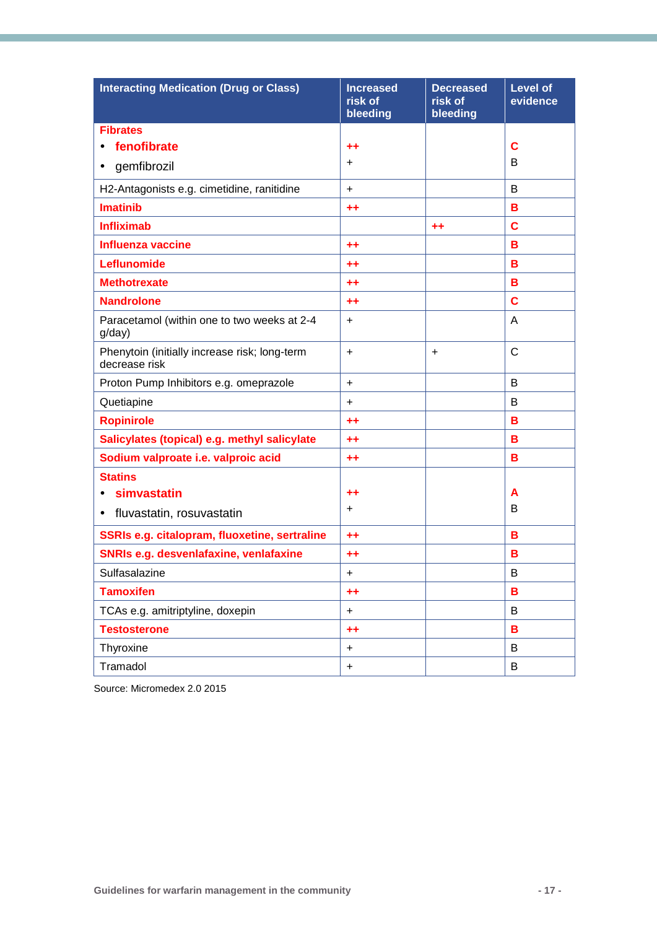| <b>Interacting Medication (Drug or Class)</b>                  | <b>Increased</b><br>risk of<br>bleeding | <b>Decreased</b><br>risk of<br>bleeding | <b>Level of</b><br>evidence |
|----------------------------------------------------------------|-----------------------------------------|-----------------------------------------|-----------------------------|
| <b>Fibrates</b>                                                |                                         |                                         |                             |
| fenofibrate                                                    | $+ +$                                   |                                         | C                           |
| gemfibrozil<br>$\bullet$                                       | $\ddot{}$                               |                                         | B                           |
| H2-Antagonists e.g. cimetidine, ranitidine                     | $\ddot{}$                               |                                         | B                           |
| <b>Imatinib</b>                                                | $+ +$                                   |                                         | в                           |
| <b>Infliximab</b>                                              |                                         | $++$                                    | C                           |
| <b>Influenza vaccine</b>                                       | $+ +$                                   |                                         | в                           |
| Leflunomide                                                    | $+ +$                                   |                                         | в                           |
| <b>Methotrexate</b>                                            | $+ +$                                   |                                         | в                           |
| <b>Nandrolone</b>                                              | $+ +$                                   |                                         | C                           |
| Paracetamol (within one to two weeks at 2-4<br>g/day)          | $\ddot{}$                               |                                         | A                           |
| Phenytoin (initially increase risk; long-term<br>decrease risk | $+$                                     | $\ddot{}$                               | C                           |
| Proton Pump Inhibitors e.g. omeprazole                         | $\ddot{}$                               |                                         | B                           |
| Quetiapine                                                     | $\ddot{}$                               |                                         | B                           |
| <b>Ropinirole</b>                                              | $+ +$                                   |                                         | в                           |
| Salicylates (topical) e.g. methyl salicylate                   | $+ +$                                   |                                         | в                           |
| Sodium valproate i.e. valproic acid                            | $+ +$                                   |                                         | в                           |
| <b>Statins</b>                                                 |                                         |                                         |                             |
| simvastatin                                                    | $^{\tiny{++}}$                          |                                         | A                           |
| fluvastatin, rosuvastatin<br>$\bullet$                         | $\ddot{}$                               |                                         | B                           |
| SSRIs e.g. citalopram, fluoxetine, sertraline                  | $++$                                    |                                         | в                           |
| <b>SNRIs e.g. desvenlafaxine, venlafaxine</b>                  | $^{\tiny{++}}$                          |                                         | в                           |
| Sulfasalazine                                                  | +                                       |                                         | B                           |
| <b>Tamoxifen</b>                                               | $++$                                    |                                         | в                           |
| TCAs e.g. amitriptyline, doxepin                               | $\ddot{}$                               |                                         | B                           |
| <b>Testosterone</b>                                            | $+ +$                                   |                                         | в                           |
| Thyroxine                                                      | $\ddot{}$                               |                                         | B                           |
| Tramadol                                                       | $\ddot{}$                               |                                         | B                           |

Source: Micromedex 2.0 2015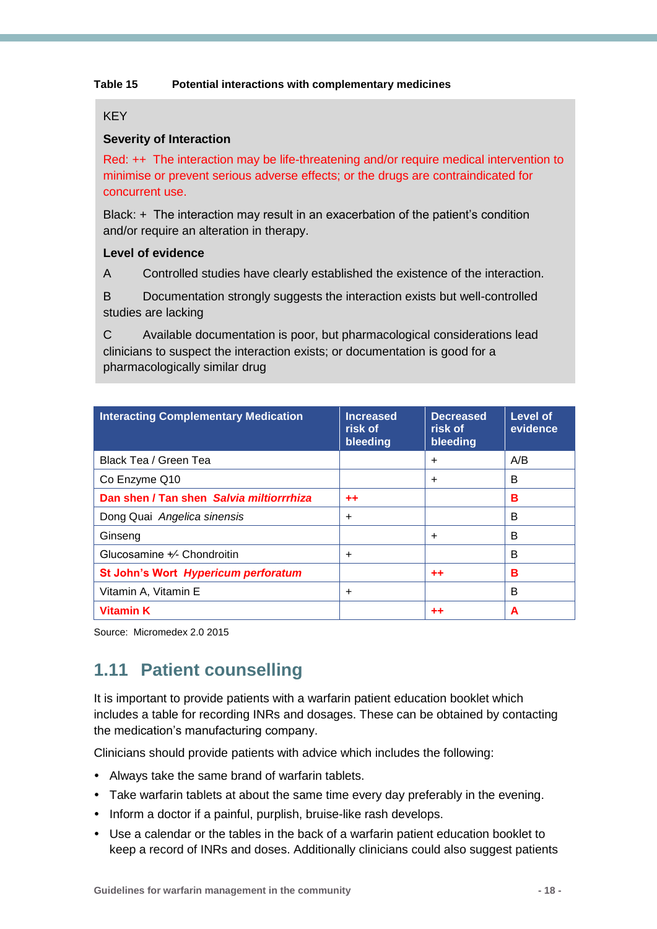#### **Table 15 Potential interactions with complementary medicines**

### **KEY**

### **Severity of Interaction**

Red: ++ The interaction may be life-threatening and/or require medical intervention to minimise or prevent serious adverse effects; or the drugs are contraindicated for concurrent use.

Black: + The interaction may result in an exacerbation of the patient's condition and/or require an alteration in therapy.

#### **Level of evidence**

A Controlled studies have clearly established the existence of the interaction.

B Documentation strongly suggests the interaction exists but well-controlled studies are lacking

C Available documentation is poor, but pharmacological considerations lead clinicians to suspect the interaction exists; or documentation is good for a pharmacologically similar drug

| <b>Interacting Complementary Medication</b> | <b>Increased</b><br>risk of<br><b>bleeding</b> | <b>Decreased</b><br>risk of<br>bleeding | <b>Level of</b><br>evidence |
|---------------------------------------------|------------------------------------------------|-----------------------------------------|-----------------------------|
| Black Tea / Green Tea                       |                                                | $\ddot{}$                               | A/B                         |
| Co Enzyme Q10                               |                                                | $\ddot{}$                               | B                           |
| Dan shen / Tan shen Salvia miltiorrrhiza    | $+ +$                                          |                                         | в                           |
| Dong Quai Angelica sinensis                 | $\ddot{}$                                      |                                         | B                           |
| Ginseng                                     |                                                | $\ddot{}$                               | В                           |
| Glucosamine +/- Chondroitin                 | $\ddot{}$                                      |                                         | B                           |
| St John's Wort Hypericum perforatum         |                                                | $+ +$                                   | в                           |
| Vitamin A, Vitamin E                        | +                                              |                                         | B                           |
| <b>Vitamin K</b>                            |                                                | ++                                      | A                           |

Source: Micromedex 2.0 2015

## <span id="page-20-0"></span>**1.11 Patient counselling**

It is important to provide patients with a warfarin patient education booklet which includes a table for recording INRs and dosages. These can be obtained by contacting the medication's manufacturing company.

Clinicians should provide patients with advice which includes the following:

- Always take the same brand of warfarin tablets.
- Take warfarin tablets at about the same time every day preferably in the evening.
- Inform a doctor if a painful, purplish, bruise-like rash develops.
- Use a calendar or the tables in the back of a warfarin patient education booklet to keep a record of INRs and doses. Additionally clinicians could also suggest patients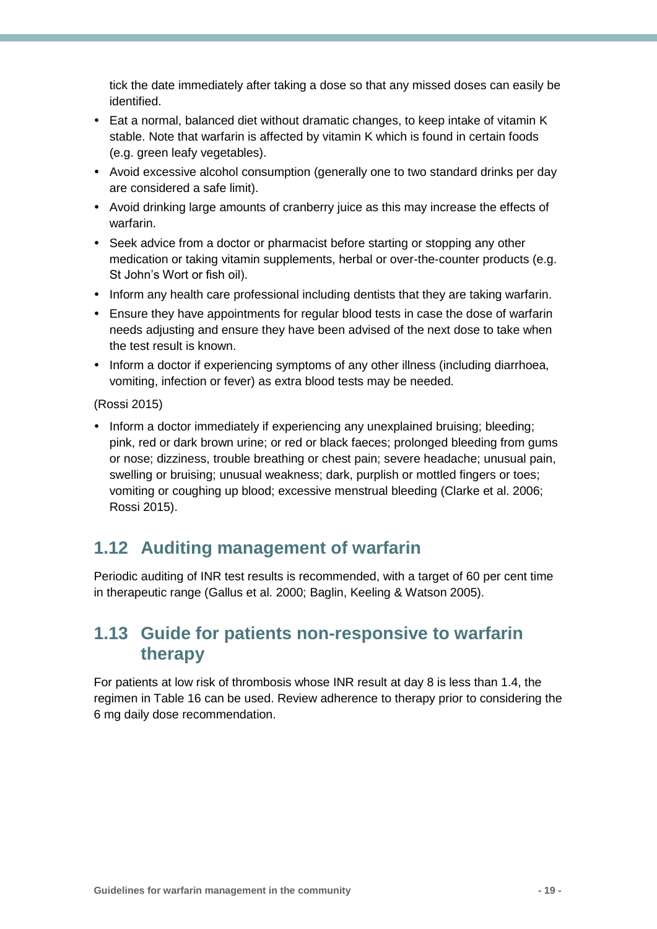tick the date immediately after taking a dose so that any missed doses can easily be identified.

- Eat a normal, balanced diet without dramatic changes, to keep intake of vitamin K stable. Note that warfarin is affected by vitamin K which is found in certain foods (e.g. green leafy vegetables).
- Avoid excessive alcohol consumption (generally one to two standard drinks per day are considered a safe limit).
- Avoid drinking large amounts of cranberry juice as this may increase the effects of warfarin.
- Seek advice from a doctor or pharmacist before starting or stopping any other medication or taking vitamin supplements, herbal or over-the-counter products (e.g. St John's Wort or fish oil).
- Inform any health care professional including dentists that they are taking warfarin.
- Ensure they have appointments for regular blood tests in case the dose of warfarin needs adjusting and ensure they have been advised of the next dose to take when the test result is known.
- Inform a doctor if experiencing symptoms of any other illness (including diarrhoea, vomiting, infection or fever) as extra blood tests may be needed.

(Rossi 2015)

• Inform a doctor immediately if experiencing any unexplained bruising; bleeding; pink, red or dark brown urine; or red or black faeces; prolonged bleeding from gums or nose; dizziness, trouble breathing or chest pain; severe headache; unusual pain, swelling or bruising; unusual weakness; dark, purplish or mottled fingers or toes; vomiting or coughing up blood; excessive menstrual bleeding (Clarke et al. 2006; Rossi 2015).

## <span id="page-21-0"></span>**1.12 Auditing management of warfarin**

Periodic auditing of INR test results is recommended, with a target of 60 per cent time in therapeutic range (Gallus et al. 2000; Baglin, Keeling & Watson 2005).

### <span id="page-21-1"></span>**1.13 Guide for patients non-responsive to warfarin therapy**

For patients at low risk of thrombosis whose INR result at day 8 is less than 1.4, the regimen in Table 16 can be used. Review adherence to therapy prior to considering the 6 mg daily dose recommendation.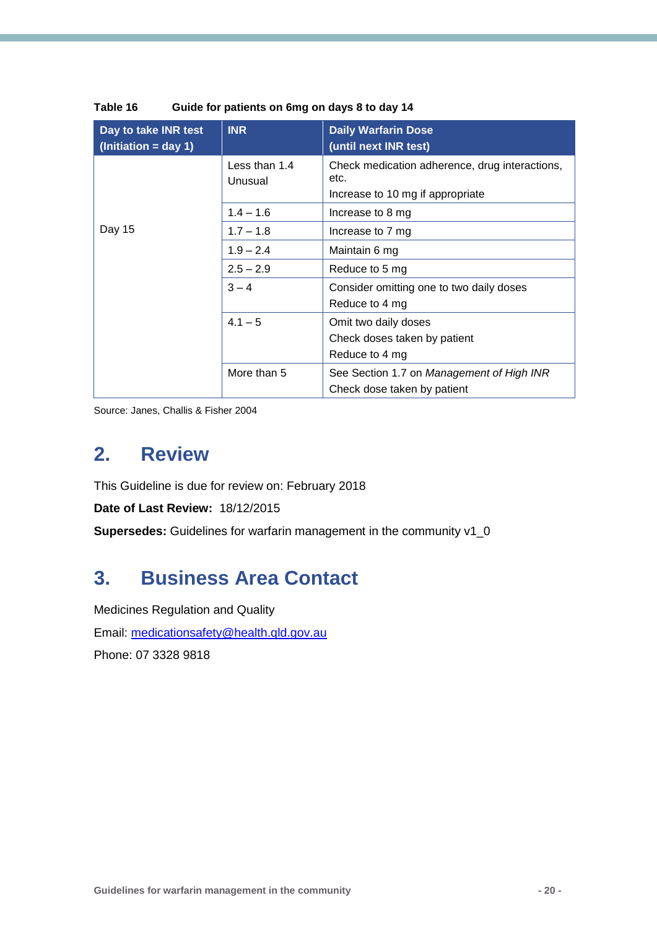| Day to take INR test<br>$ (Initiation = day 1)$ | <b>INR</b>               | <b>Daily Warfarin Dose</b><br>(until next INR test)                                        |
|-------------------------------------------------|--------------------------|--------------------------------------------------------------------------------------------|
|                                                 | Less than 1.4<br>Unusual | Check medication adherence, drug interactions,<br>etc.<br>Increase to 10 mg if appropriate |
|                                                 | $1.4 - 1.6$              | Increase to 8 mg                                                                           |
| Day 15                                          | $1.7 - 1.8$              | Increase to 7 mg                                                                           |
|                                                 | $1.9 - 2.4$              | Maintain 6 mg                                                                              |
|                                                 | $2.5 - 2.9$              | Reduce to 5 mg                                                                             |
|                                                 | $3 - 4$                  | Consider omitting one to two daily doses<br>Reduce to 4 mg                                 |
|                                                 | $4.1 - 5$                | Omit two daily doses                                                                       |
|                                                 |                          | Check doses taken by patient                                                               |
|                                                 |                          | Reduce to 4 mg                                                                             |
|                                                 | More than 5              | See Section 1.7 on Management of High INR                                                  |
|                                                 |                          | Check dose taken by patient                                                                |

| Table 16 | Guide for patients on 6mg on days 8 to day 14 |
|----------|-----------------------------------------------|
|----------|-----------------------------------------------|

Source: Janes, Challis & Fisher 2004

## <span id="page-22-0"></span>**2. Review**

This Guideline is due for review on: February 2018

**Date of Last Review:** 18/12/2015

**Supersedes:** Guidelines for warfarin management in the community v1\_0

## <span id="page-22-1"></span>**3. Business Area Contact**

Medicines Regulation and Quality Email: [medicationsafety@health.qld.gov.au](mailto:medicationsafety@health.qld.gov.au) Phone: 07 3328 9818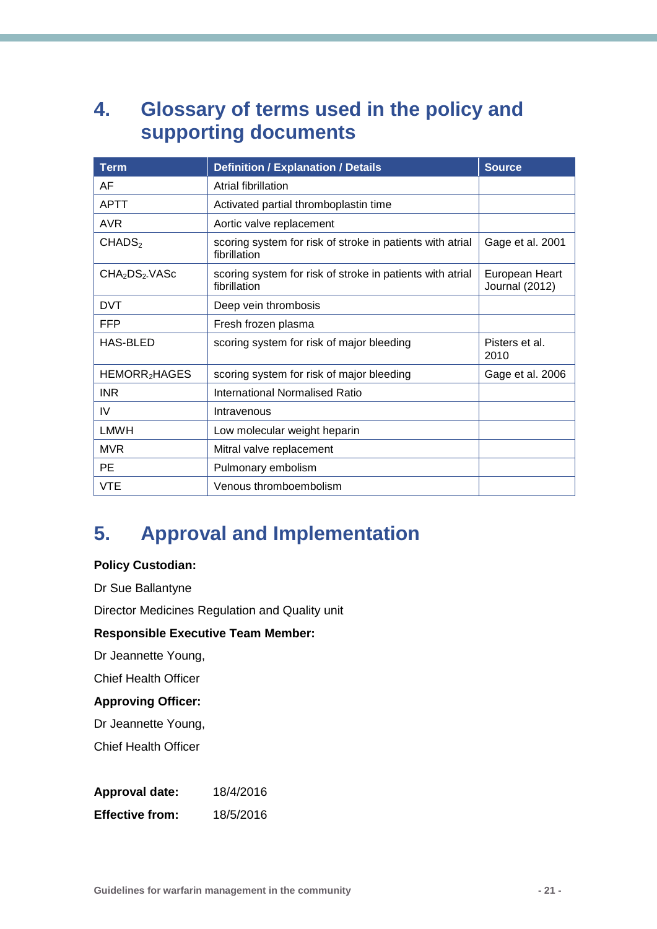## <span id="page-23-0"></span>**4. Glossary of terms used in the policy and supporting documents**

| <b>Term</b>                           | <b>Definition / Explanation / Details</b>                                 | <b>Source</b>                           |  |
|---------------------------------------|---------------------------------------------------------------------------|-----------------------------------------|--|
| AF                                    | Atrial fibrillation                                                       |                                         |  |
| <b>APTT</b>                           | Activated partial thromboplastin time                                     |                                         |  |
| <b>AVR</b>                            | Aortic valve replacement                                                  |                                         |  |
| CHADS <sub>2</sub>                    | scoring system for risk of stroke in patients with atrial<br>fibrillation | Gage et al. 2001                        |  |
| CHA <sub>2</sub> DS <sub>2</sub> VASc | scoring system for risk of stroke in patients with atrial<br>fibrillation | European Heart<br><b>Journal (2012)</b> |  |
| <b>DVT</b>                            | Deep vein thrombosis                                                      |                                         |  |
| <b>FFP</b>                            | Fresh frozen plasma                                                       |                                         |  |
| <b>HAS-BLED</b>                       | scoring system for risk of major bleeding                                 | Pisters et al.<br>2010                  |  |
| HEMORR <sub>2</sub> HAGES             | scoring system for risk of major bleeding                                 | Gage et al. 2006                        |  |
| <b>INR</b>                            | <b>International Normalised Ratio</b>                                     |                                         |  |
| IV                                    | Intravenous                                                               |                                         |  |
| <b>LMWH</b>                           | Low molecular weight heparin                                              |                                         |  |
| <b>MVR</b>                            | Mitral valve replacement                                                  |                                         |  |
| <b>PE</b>                             | Pulmonary embolism                                                        |                                         |  |
| VTE                                   | Venous thromboembolism                                                    |                                         |  |

## <span id="page-23-1"></span>**5. Approval and Implementation**

### **Policy Custodian:**

Dr Sue Ballantyne

Director Medicines Regulation and Quality unit

### **Responsible Executive Team Member:**

Dr Jeannette Young,

Chief Health Officer

### **Approving Officer:**

Dr Jeannette Young,

Chief Health Officer

**Approval date:** 18/4/2016

**Effective from:** 18/5/2016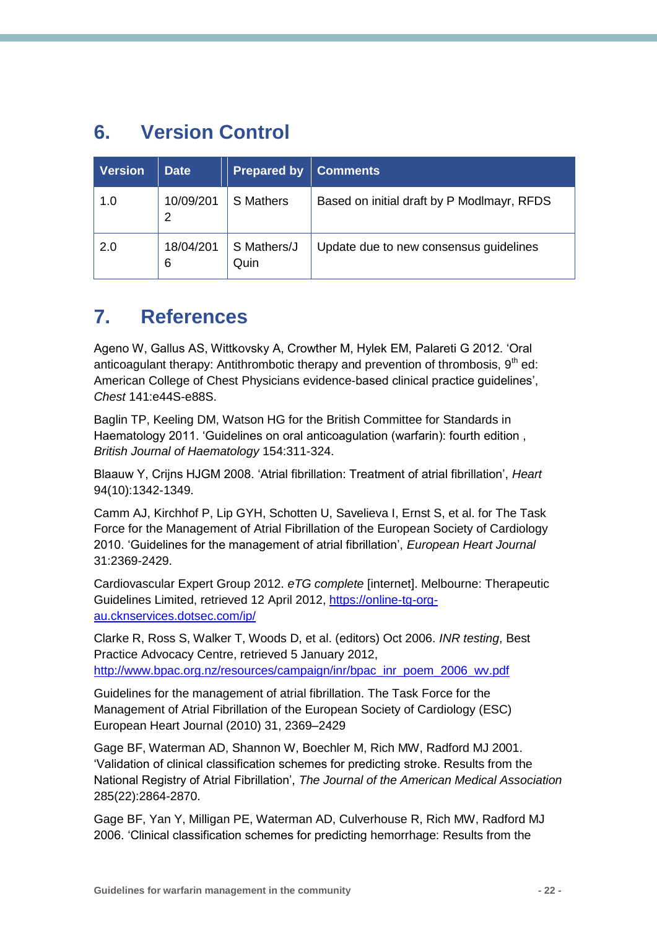## <span id="page-24-0"></span>**6. Version Control**

| <b>Version</b> | <b>Date</b>    | <b>Prepared by</b>  | <b>Comments</b>                            |
|----------------|----------------|---------------------|--------------------------------------------|
| 1.0            | 10/09/201<br>2 | <b>S</b> Mathers    | Based on initial draft by P Modlmayr, RFDS |
| 2.0            | 18/04/201<br>6 | S Mathers/J<br>Quin | Update due to new consensus quidelines     |

## <span id="page-24-1"></span>**7. References**

Ageno W, Gallus AS, Wittkovsky A, Crowther M, Hylek EM, Palareti G 2012. 'Oral anticoagulant therapy: Antithrombotic therapy and prevention of thrombosis,  $9<sup>th</sup>$  ed: American College of Chest Physicians evidence-based clinical practice guidelines', *Chest* 141:e44S-e88S.

Baglin TP, Keeling DM, Watson HG for the British Committee for Standards in Haematology 2011. 'Guidelines on oral anticoagulation (warfarin): fourth edition , *British Journal of Haematology* 154:311-324.

Blaauw Y, Crijns HJGM 2008. 'Atrial fibrillation: Treatment of atrial fibrillation', *Heart* 94(10):1342-1349.

Camm AJ, Kirchhof P, Lip GYH, Schotten U, Savelieva I, Ernst S, et al. for The Task Force for the Management of Atrial Fibrillation of the European Society of Cardiology 2010. 'Guidelines for the management of atrial fibrillation', *European Heart Journal* 31:2369-2429.

Cardiovascular Expert Group 2012. *eTG complete* [internet]. Melbourne: Therapeutic Guidelines Limited, retrieved 12 April 2012, [https://online-tg-org](https://online-tg-org-au.cknservices.dotsec.com/ip/)[au.cknservices.dotsec.com/ip/](https://online-tg-org-au.cknservices.dotsec.com/ip/)

Clarke R, Ross S, Walker T, Woods D, et al. (editors) Oct 2006. *INR testing*, Best Practice Advocacy Centre, retrieved 5 January 2012, [http://www.bpac.org.nz/resources/campaign/inr/bpac\\_inr\\_poem\\_2006\\_wv.pdf](http://www.bpac.org.nz/resources/campaign/inr/bpac_inr_poem_2006_wv.pdf) 

Guidelines for the management of atrial fibrillation. The Task Force for the Management of Atrial Fibrillation of the European Society of Cardiology (ESC) European Heart Journal (2010) 31, 2369–2429

Gage BF, Waterman AD, Shannon W, Boechler M, Rich MW, Radford MJ 2001. 'Validation of clinical classification schemes for predicting stroke. Results from the National Registry of Atrial Fibrillation', *The Journal of the American Medical Association* 285(22):2864-2870.

Gage BF, Yan Y, Milligan PE, Waterman AD, Culverhouse R, Rich MW, Radford MJ 2006. 'Clinical classification schemes for predicting hemorrhage: Results from the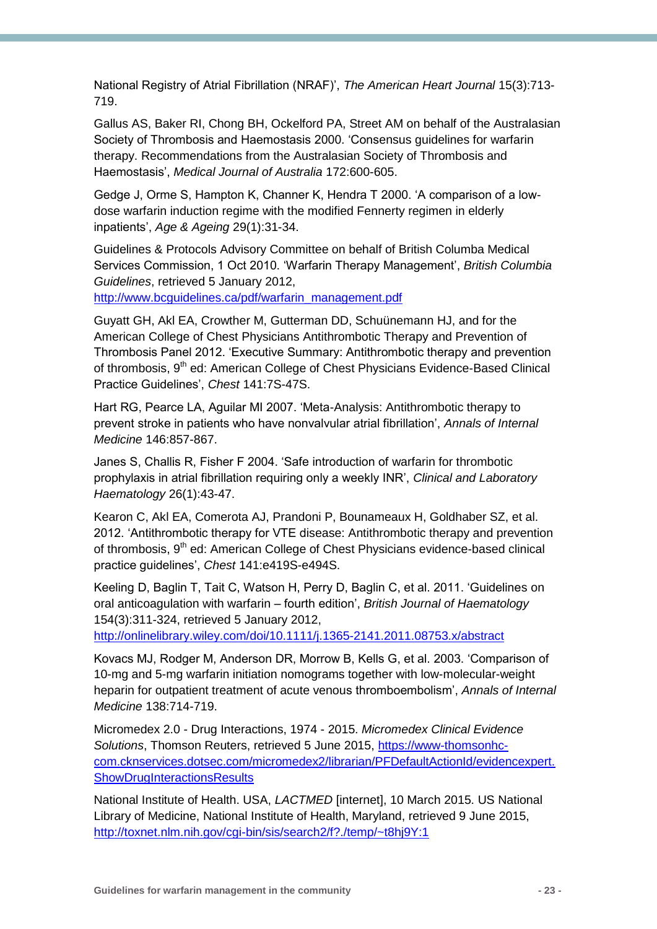National Registry of Atrial Fibrillation (NRAF)', *The American Heart Journal* 15(3):713- 719.

Gallus AS, Baker RI, Chong BH, Ockelford PA, Street AM on behalf of the Australasian Society of Thrombosis and Haemostasis 2000. 'Consensus guidelines for warfarin therapy. Recommendations from the Australasian Society of Thrombosis and Haemostasis', *Medical Journal of Australia* 172:600-605.

Gedge J, Orme S, Hampton K, Channer K, Hendra T 2000. 'A comparison of a lowdose warfarin induction regime with the modified Fennerty regimen in elderly inpatients', *Age & Ageing* 29(1):31-34.

Guidelines & Protocols Advisory Committee on behalf of British Columba Medical Services Commission, 1 Oct 2010. 'Warfarin Therapy Management', *British Columbia Guidelines*, retrieved 5 January 2012,

[http://www.bcguidelines.ca/pdf/warfarin\\_management.pdf](http://www.bcguidelines.ca/pdf/warfarin_management.pdf)

Guyatt GH, Akl EA, Crowther M, Gutterman DD, Schuünemann HJ, and for the American College of Chest Physicians Antithrombotic Therapy and Prevention of Thrombosis Panel 2012. 'Executive Summary: Antithrombotic therapy and prevention of thrombosis, 9<sup>th</sup> ed: American College of Chest Physicians Evidence-Based Clinical Practice Guidelines', *Chest* 141:7S-47S.

Hart RG, Pearce LA, Aguilar MI 2007. 'Meta-Analysis: Antithrombotic therapy to prevent stroke in patients who have nonvalvular atrial fibrillation', *Annals of Internal Medicine* 146:857-867.

Janes S, Challis R, Fisher F 2004. 'Safe introduction of warfarin for thrombotic prophylaxis in atrial fibrillation requiring only a weekly INR', *Clinical and Laboratory Haematology* 26(1):43-47.

Kearon C, Akl EA, Comerota AJ, Prandoni P, Bounameaux H, Goldhaber SZ, et al. 2012. 'Antithrombotic therapy for VTE disease: Antithrombotic therapy and prevention of thrombosis, 9<sup>th</sup> ed: American College of Chest Physicians evidence-based clinical practice guidelines', *Chest* 141:e419S-e494S.

Keeling D, Baglin T, Tait C, Watson H, Perry D, Baglin C, et al. 2011. 'Guidelines on oral anticoagulation with warfarin – fourth edition', *British Journal of Haematology* 154(3):311-324, retrieved 5 January 2012,

<http://onlinelibrary.wiley.com/doi/10.1111/j.1365-2141.2011.08753.x/abstract>

Kovacs MJ, Rodger M, Anderson DR, Morrow B, Kells G, et al. 2003. 'Comparison of 10-mg and 5-mg warfarin initiation nomograms together with low-molecular-weight heparin for outpatient treatment of acute venous thromboembolism', *Annals of Internal Medicine* 138:714-719.

Micromedex 2.0 - Drug Interactions, 1974 - 2015. *Micromedex Clinical Evidence Solutions*, Thomson Reuters, retrieved 5 June 2015, [https://www-thomsonhc](https://www-thomsonhc-com.cknservices.dotsec.com/micromedex2/librarian/PFDefaultActionId/evidencexpert.ShowDrugInteractionsResults)[com.cknservices.dotsec.com/micromedex2/librarian/PFDefaultActionId/evidencexpert.](https://www-thomsonhc-com.cknservices.dotsec.com/micromedex2/librarian/PFDefaultActionId/evidencexpert.ShowDrugInteractionsResults) **[ShowDrugInteractionsResults](https://www-thomsonhc-com.cknservices.dotsec.com/micromedex2/librarian/PFDefaultActionId/evidencexpert.ShowDrugInteractionsResults)** 

National Institute of Health. USA, *LACTMED* [internet], 10 March 2015. US National Library of Medicine, National Institute of Health, Maryland, retrieved 9 June 2015, <http://toxnet.nlm.nih.gov/cgi-bin/sis/search2/f?./temp/~t8hj9Y:1>